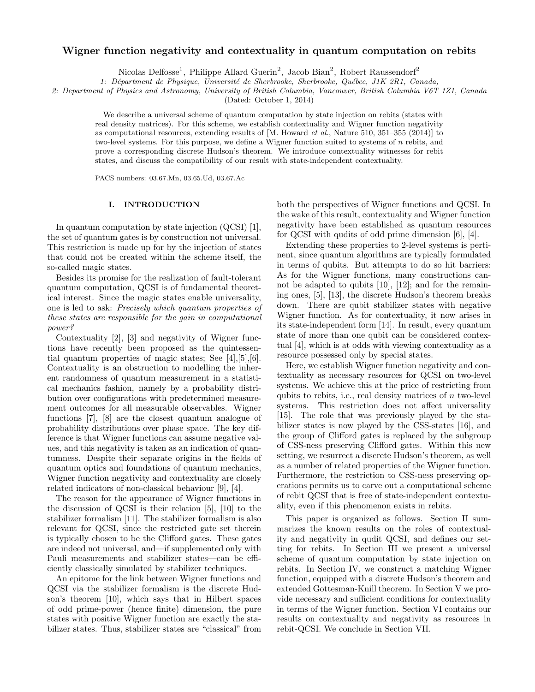## Wigner function negativity and contextuality in quantum computation on rebits

Nicolas Delfosse<sup>1</sup>, Philippe Allard Guerin<sup>2</sup>, Jacob Bian<sup>2</sup>, Robert Raussendorf<sup>2</sup>

1: Départment de Physique, Université de Sherbrooke, Sherbrooke, Québec, J1K 2R1, Canada,

2: Department of Physics and Astronomy, University of British Columbia, Vancouver, British Columbia V6T 1Z1, Canada

(Dated: October 1, 2014)

We describe a universal scheme of quantum computation by state injection on rebits (states with real density matrices). For this scheme, we establish contextuality and Wigner function negativity as computational resources, extending results of  $[M.$  Howard *et al.*, Nature 510, 351–355 (2014)] to two-level systems. For this purpose, we define a Wigner function suited to systems of n rebits, and prove a corresponding discrete Hudson's theorem. We introduce contextuality witnesses for rebit states, and discuss the compatibility of our result with state-independent contextuality.

PACS numbers: 03.67.Mn, 03.65.Ud, 03.67.Ac

### I. INTRODUCTION

In quantum computation by state injection (QCSI) [1], the set of quantum gates is by construction not universal. This restriction is made up for by the injection of states that could not be created within the scheme itself, the so-called magic states.

Besides its promise for the realization of fault-tolerant quantum computation, QCSI is of fundamental theoretical interest. Since the magic states enable universality, one is led to ask: Precisely which quantum properties of these states are responsible for the gain in computational power?

Contextuality [2], [3] and negativity of Wigner functions have recently been proposed as the quintessential quantum properties of magic states; See [4],[5],[6]. Contextuality is an obstruction to modelling the inherent randomness of quantum measurement in a statistical mechanics fashion, namely by a probability distribution over configurations with predetermined measurement outcomes for all measurable observables. Wigner functions [7], [8] are the closest quantum analogue of probability distributions over phase space. The key difference is that Wigner functions can assume negative values, and this negativity is taken as an indication of quantumness. Despite their separate origins in the fields of quantum optics and foundations of quantum mechanics, Wigner function negativity and contextuality are closely related indicators of non-classical behaviour [9], [4].

The reason for the appearance of Wigner functions in the discussion of QCSI is their relation [5], [10] to the stabilizer formalism [11]. The stabilizer formalism is also relevant for QCSI, since the restricted gate set therein is typically chosen to be the Clifford gates. These gates are indeed not universal, and—if supplemented only with Pauli measurements and stabilizer states—can be efficiently classically simulated by stabilizer techniques.

An epitome for the link between Wigner functions and QCSI via the stabilizer formalism is the discrete Hudson's theorem [10], which says that in Hilbert spaces of odd prime-power (hence finite) dimension, the pure states with positive Wigner function are exactly the stabilizer states. Thus, stabilizer states are "classical" from

both the perspectives of Wigner functions and QCSI. In the wake of this result, contextuality and Wigner function negativity have been established as quantum resources for QCSI with qudits of odd prime dimension [6], [4].

Extending these properties to 2-level systems is pertinent, since quantum algorithms are typically formulated in terms of qubits. But attempts to do so hit barriers: As for the Wigner functions, many constructions cannot be adapted to qubits [10], [12]; and for the remaining ones, [5], [13], the discrete Hudson's theorem breaks down. There are qubit stabilizer states with negative Wigner function. As for contextuality, it now arises in its state-independent form [14]. In result, every quantum state of more than one qubit can be considered contextual [4], which is at odds with viewing contextuality as a resource possessed only by special states.

Here, we establish Wigner function negativity and contextuality as necessary resources for QCSI on two-level systems. We achieve this at the price of restricting from qubits to rebits, i.e., real density matrices of  $n$  two-level systems. This restriction does not affect universality [15]. The role that was previously played by the stabilizer states is now played by the CSS-states [16], and the group of Clifford gates is replaced by the subgroup of CSS-ness preserving Clifford gates. Within this new setting, we resurrect a discrete Hudson's theorem, as well as a number of related properties of the Wigner function. Furthermore, the restriction to CSS-ness preserving operations permits us to carve out a computational scheme of rebit QCSI that is free of state-independent contextuality, even if this phenomenon exists in rebits.

This paper is organized as follows. Section II summarizes the known results on the roles of contextuality and negativity in qudit QCSI, and defines our setting for rebits. In Section III we present a universal scheme of quantum computation by state injection on rebits. In Section IV, we construct a matching Wigner function, equipped with a discrete Hudson's theorem and extended Gottesman-Knill theorem. In Section V we provide necessary and sufficient conditions for contextuality in terms of the Wigner function. Section VI contains our results on contextuality and negativity as resources in rebit-QCSI. We conclude in Section VII.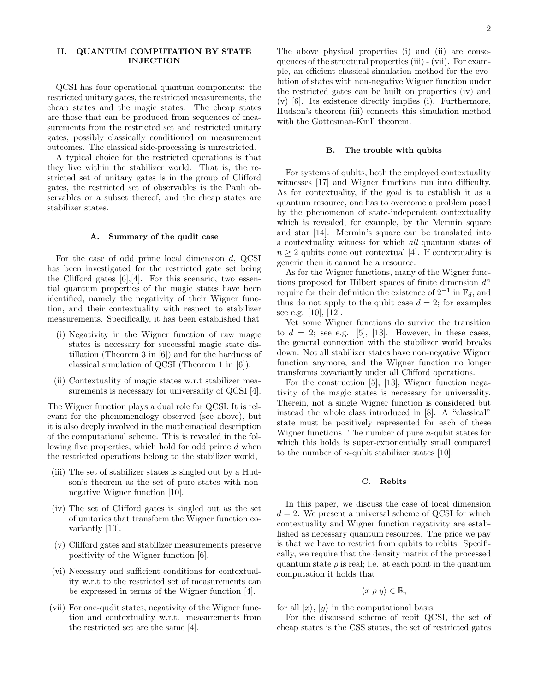## II. QUANTUM COMPUTATION BY STATE INJECTION

QCSI has four operational quantum components: the restricted unitary gates, the restricted measurements, the cheap states and the magic states. The cheap states are those that can be produced from sequences of measurements from the restricted set and restricted unitary gates, possibly classically conditioned on measurement outcomes. The classical side-processing is unrestricted.

A typical choice for the restricted operations is that they live within the stabilizer world. That is, the restricted set of unitary gates is in the group of Clifford gates, the restricted set of observables is the Pauli observables or a subset thereof, and the cheap states are stabilizer states.

### A. Summary of the qudit case

For the case of odd prime local dimension d, QCSI has been investigated for the restricted gate set being the Clifford gates  $[6], [4]$ . For this scenario, two essential quantum properties of the magic states have been identified, namely the negativity of their Wigner function, and their contextuality with respect to stabilizer measurements. Specifically, it has been established that

- (i) Negativity in the Wigner function of raw magic states is necessary for successful magic state distillation (Theorem 3 in [6]) and for the hardness of classical simulation of QCSI (Theorem 1 in [6]).
- (ii) Contextuality of magic states w.r.t stabilizer measurements is necessary for universality of QCSI [4].

The Wigner function plays a dual role for QCSI. It is relevant for the phenomenology observed (see above), but it is also deeply involved in the mathematical description of the computational scheme. This is revealed in the following five properties, which hold for odd prime d when the restricted operations belong to the stabilizer world,

- (iii) The set of stabilizer states is singled out by a Hudson's theorem as the set of pure states with nonnegative Wigner function [10].
- (iv) The set of Clifford gates is singled out as the set of unitaries that transform the Wigner function covariantly [10].
- (v) Clifford gates and stabilizer measurements preserve positivity of the Wigner function [6].
- (vi) Necessary and sufficient conditions for contextuality w.r.t to the restricted set of measurements can be expressed in terms of the Wigner function [4].
- (vii) For one-qudit states, negativity of the Wigner function and contextuality w.r.t. measurements from the restricted set are the same [4].

The above physical properties (i) and (ii) are consequences of the structural properties (iii) - (vii). For example, an efficient classical simulation method for the evolution of states with non-negative Wigner function under the restricted gates can be built on properties (iv) and (v) [6]. Its existence directly implies (i). Furthermore, Hudson's theorem (iii) connects this simulation method with the Gottesman-Knill theorem.

### B. The trouble with qubits

For systems of qubits, both the employed contextuality witnesses [17] and Wigner functions run into difficulty. As for contextuality, if the goal is to establish it as a quantum resource, one has to overcome a problem posed by the phenomenon of state-independent contextuality which is revealed, for example, by the Mermin square and star [14]. Mermin's square can be translated into a contextuality witness for which all quantum states of  $n \geq 2$  qubits come out contextual [4]. If contextuality is generic then it cannot be a resource.

As for the Wigner functions, many of the Wigner functions proposed for Hilbert spaces of finite dimension  $d^n$ require for their definition the existence of  $2^{-1}$  in  $\mathbb{F}_d$ , and thus do not apply to the qubit case  $d = 2$ ; for examples see e.g. [10], [12].

Yet some Wigner functions do survive the transition to  $d = 2$ ; see e.g. [5], [13]. However, in these cases, the general connection with the stabilizer world breaks down. Not all stabilizer states have non-negative Wigner function anymore, and the Wigner function no longer transforms covariantly under all Clifford operations.

For the construction [5], [13], Wigner function negativity of the magic states is necessary for universality. Therein, not a single Wigner function is considered but instead the whole class introduced in [8]. A "classical" state must be positively represented for each of these Wigner functions. The number of pure  $n$ -qubit states for which this holds is super-exponentially small compared to the number of *n*-qubit stabilizer states [10].

#### C. Rebits

In this paper, we discuss the case of local dimension  $d = 2$ . We present a universal scheme of QCSI for which contextuality and Wigner function negativity are established as necessary quantum resources. The price we pay is that we have to restrict from qubits to rebits. Specifically, we require that the density matrix of the processed quantum state  $\rho$  is real; i.e. at each point in the quantum computation it holds that

$$
\langle x|\rho|y\rangle \in \mathbb{R},
$$

for all  $|x\rangle$ ,  $|y\rangle$  in the computational basis.

For the discussed scheme of rebit QCSI, the set of cheap states is the CSS states, the set of restricted gates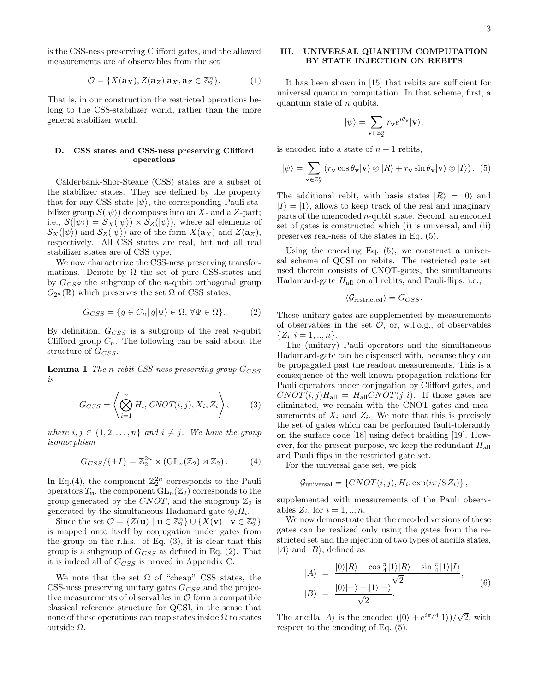is the CSS-ness preserving Clifford gates, and the allowed measurements are of observables from the set

$$
\mathcal{O} = \{X(\mathbf{a}_X), Z(\mathbf{a}_Z)|\mathbf{a}_X, \mathbf{a}_Z \in \mathbb{Z}_2^n\}.
$$
 (1)

That is, in our construction the restricted operations belong to the CSS-stabilizer world, rather than the more general stabilizer world.

## D. CSS states and CSS-ness preserving Clifford operations

Calderbank-Shor-Steane (CSS) states are a subset of the stabilizer states. They are defined by the property that for any CSS state  $|\psi\rangle$ , the corresponding Pauli stabilizer group  $\mathcal{S}(|\psi\rangle)$  decomposes into an X- and a Z-part; i.e.,  $\mathcal{S}(|\psi\rangle) = \mathcal{S}_X(|\psi\rangle) \times \mathcal{S}_Z(|\psi\rangle)$ , where all elements of  $\mathcal{S}_X(\ket{\psi})$  and  $\mathcal{S}_Z(\ket{\psi})$  are of the form  $X(\mathbf{a}_X)$  and  $Z(\mathbf{a}_Z)$ , respectively. All CSS states are real, but not all real stabilizer states are of CSS type.

We now characterize the CSS-ness preserving transformations. Denote by  $\Omega$  the set of pure CSS-states and by  $G_{CSS}$  the subgroup of the *n*-qubit orthogonal group  $O_{2^n}(\mathbb{R})$  which preserves the set  $\Omega$  of CSS states,

$$
G_{CSS} = \{ g \in C_n | g | \Psi \rangle \in \Omega, \forall \Psi \in \Omega \}. \tag{2}
$$

By definition,  $G_{CSS}$  is a subgroup of the real *n*-qubit Clifford group  $C_n$ . The following can be said about the structure of  $G_{CSS}$ .

**Lemma 1** The n-rebit CSS-ness preserving group  $G_{CSS}$ is

$$
G_{CSS} = \left\langle \bigotimes_{i=1}^{n} H_i, CNOT(i, j), X_i, Z_i \right\rangle, \tag{3}
$$

where  $i, j \in \{1, 2, \ldots, n\}$  and  $i \neq j$ . We have the group isomorphism

$$
G_{CSS}/\{\pm I\} = \mathbb{Z}_2^{2n} \rtimes (\mathrm{GL}_n(\mathbb{Z}_2) \rtimes \mathbb{Z}_2). \tag{4}
$$

In Eq.(4), the component  $\mathbb{Z}_2^{2n}$  corresponds to the Pauli operators  $T_{\mathbf{u}}$ , the component  $GL_n(\mathbb{Z}_2)$  corresponds to the group generated by the CNOT, and the subgroup  $\mathbb{Z}_2$  is generated by the simultaneous Hadamard gate  $\otimes_i H_i$ .

Since the set  $\mathcal{O} = \{ Z(\mathbf{u}) \mid \mathbf{u} \in \mathbb{Z}_2^n \} \cup \{ X(\mathbf{v}) \mid \mathbf{v} \in \mathbb{Z}_2^n \}$ is mapped onto itself by conjugation under gates from the group on the r.h.s. of Eq. (3), it is clear that this group is a subgroup of  $G_{CSS}$  as defined in Eq. (2). That it is indeed all of  $G_{CSS}$  is proved in Appendix C.

We note that the set  $\Omega$  of "cheap" CSS states, the CSS-ness preserving unitary gates  $G_{CSS}$  and the projective measurements of observables in  $\mathcal O$  form a compatible classical reference structure for QCSI, in the sense that none of these operations can map states inside  $\Omega$  to states outside Ω.

## III. UNIVERSAL QUANTUM COMPUTATION BY STATE INJECTION ON REBITS

It has been shown in [15] that rebits are sufficient for universal quantum computation. In that scheme, first, a quantum state of  $n$  qubits,

$$
|\psi\rangle=\sum_{\mathbf{v}\in\mathbb{Z}_2^n}r_{\mathbf{v}}e^{i\theta_{\mathbf{v}}}|\mathbf{v}\rangle,
$$

is encoded into a state of  $n + 1$  rebits,

$$
\overline{\ket{\psi}} = \sum_{\mathbf{v} \in \mathbb{Z}_2^n} \left( r_{\mathbf{v}} \cos \theta_{\mathbf{v}} | \mathbf{v} \rangle \otimes |R\rangle + r_{\mathbf{v}} \sin \theta_{\mathbf{v}} | \mathbf{v} \rangle \otimes |I\rangle \right). \tag{5}
$$

The additional rebit, with basis states  $|R\rangle = |0\rangle$  and  $|I\rangle = |1\rangle$ , allows to keep track of the real and imaginary parts of the unencoded n-qubit state. Second, an encoded set of gates is constructed which (i) is universal, and (ii) preserves real-ness of the states in Eq. (5).

Using the encoding Eq. (5), we construct a universal scheme of QCSI on rebits. The restricted gate set used therein consists of CNOT-gates, the simultaneous Hadamard-gate  $H_{all}$  on all rebits, and Pauli-flips, i.e.,

$$
\langle \mathcal{G}_{\text{restricted}} \rangle = G_{CSS}.
$$

These unitary gates are supplemented by measurements of observables in the set  $\mathcal{O}$ , or, w.l.o.g., of observables  $\{Z_i | i = 1, ..., n\}.$ 

The (unitary) Pauli operators and the simultaneous Hadamard-gate can be dispensed with, because they can be propagated past the readout measurements. This is a consequence of the well-known propagation relations for Pauli operators under conjugation by Clifford gates, and  $CNOT(i, j)H<sub>all</sub> = H<sub>all</sub>CNOT(j, i)$ . If those gates are eliminated, we remain with the CNOT-gates and measurements of  $X_i$  and  $Z_i$ . We note that this is precisely the set of gates which can be performed fault-tolerantly on the surface code [18] using defect braiding [19]. However, for the present purpose, we keep the redundant  $H_{all}$ and Pauli flips in the restricted gate set.

For the universal gate set, we pick

$$
\mathcal{G}_{\text{universal}} = \{CNOT(i, j), H_i, \exp(i\pi/8 Z_i)\},\
$$

supplemented with measurements of the Pauli observables  $Z_i$ , for  $i = 1, ..., n$ .

We now demonstrate that the encoded versions of these gates can be realized only using the gates from the restricted set and the injection of two types of ancilla states,  $|A\rangle$  and  $|B\rangle$ , defined as

$$
|A\rangle = \frac{|0\rangle|R\rangle + \cos\frac{\pi}{4}|1\rangle|R\rangle + \sin\frac{\pi}{4}|1\rangle|I\rangle}{\sqrt{2}},
$$
  

$$
|B\rangle = \frac{|0\rangle|+\rangle+|1\rangle|-\rangle}{\sqrt{2}}.
$$
 (6)

The ancilla  $|A\rangle$  is the encoded  $(|0\rangle + e^{i\pi/4}|1\rangle)/$ √ 2, with respect to the encoding of Eq. (5).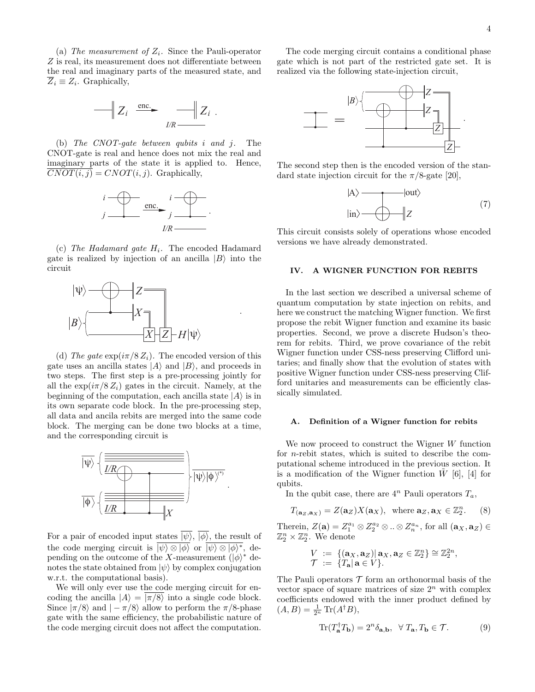(a) The measurement of  $Z_i$ . Since the Pauli-operator Z is real, its measurement does not differentiate between the real and imaginary parts of the measured state, and  $\overline{Z}_i \equiv Z_i$ . Graphically,

$$
-\bigg\|Z_i\bigg\|_{\mathcal{L}(\mathcal{R})}^{\text{enc.}}\bigg\|_{\mathcal{I}(\mathcal{R})}^{\text{enc.}}\bigg\|_{\mathcal{L}(\mathcal{R})}^{\text{enc.}}.
$$

(b) The CNOT-gate between qubits i and j. The CNOT-gate is real and hence does not mix the real and imaginary parts of the state it is applied to. Hence,  $CNOT(i, j) = CNOT(i, j)$ . Graphically,



(c) The Hadamard gate  $H_i$ . The encoded Hadamard gate is realized by injection of an ancilla  $|B\rangle$  into the circuit

.



(d) The gate  $\exp(i\pi/8 Z_i)$ . The encoded version of this gate uses an ancilla states  $|A\rangle$  and  $|B\rangle$ , and proceeds in two steps. The first step is a pre-processing jointly for all the  $\exp(i\pi/8 Z_i)$  gates in the circuit. Namely, at the beginning of the computation, each ancilla state  $|A\rangle$  is in its own separate code block. In the pre-processing step, all data and ancila rebits are merged into the same code block. The merging can be done two blocks at a time, and the corresponding circuit is



For a pair of encoded input states  $|\psi\rangle$ ,  $|\phi\rangle$ , the result of the code merging circuit is  $|\psi\rangle \otimes |\phi\rangle$  or  $|\psi\rangle \otimes |\phi\rangle^*$ , depending on the outcome of the X-measurement  $(|\phi\rangle^*$  denotes the state obtained from  $|\psi\rangle$  by complex conjugation w.r.t. the computational basis).

We will only ever use the code merging circuit for encoding the ancilla  $|A\rangle = |\pi/8\rangle$  into a single code block. Since  $|\pi/8\rangle$  and  $|-\pi/8\rangle$  allow to perform the  $\pi/8$ -phase gate with the same efficiency, the probabilistic nature of the code merging circuit does not affect the computation.

The code merging circuit contains a conditional phase gate which is not part of the restricted gate set. It is realized via the following state-injection circuit,



The second step then is the encoded version of the standard state injection circuit for the  $\pi/8$ -gate [20],

$$
|A\rangle \longrightarrow |out\rangle
$$
  

$$
|in\rangle \longrightarrow |Z \tag{7}
$$

This circuit consists solely of operations whose encoded versions we have already demonstrated.

## IV. A WIGNER FUNCTION FOR REBITS

In the last section we described a universal scheme of quantum computation by state injection on rebits, and here we construct the matching Wigner function. We first propose the rebit Wigner function and examine its basic properties. Second, we prove a discrete Hudson's theorem for rebits. Third, we prove covariance of the rebit Wigner function under CSS-ness preserving Clifford unitaries; and finally show that the evolution of states with positive Wigner function under CSS-ness preserving Clifford unitaries and measurements can be efficiently classically simulated.

### A. Definition of a Wigner function for rebits

We now proceed to construct the Wigner W function for n-rebit states, which is suited to describe the computational scheme introduced in the previous section. It is a modification of the Wigner function  $\tilde{W}$  [6], [4] for qubits.

In the qubit case, there are  $4^n$  Pauli operators  $T_a$ ,

$$
T_{(\mathbf{a}_Z,\mathbf{a}_X)} = Z(\mathbf{a}_Z)X(\mathbf{a}_X), \text{ where } \mathbf{a}_Z, \mathbf{a}_X \in \mathbb{Z}_2^n. \tag{8}
$$

Therein,  $Z(\mathbf{a}) = Z_1^{a_1} \otimes Z_2^{a_2} \otimes ... \otimes Z_n^{a_n}$ , for all  $(\mathbf{a}_X, \mathbf{a}_Z) \in$  $\mathbb{Z}_2^n \times \mathbb{Z}_2^n$ . We denote

$$
V := \{(\mathbf{a}_X, \mathbf{a}_Z) | \mathbf{a}_X, \mathbf{a}_Z \in \mathbb{Z}_2^n\} \cong \mathbb{Z}_2^{2n},
$$
  

$$
\mathcal{T} := \{T_\mathbf{a} | \mathbf{a} \in V\}.
$$

The Pauli operators  $\mathcal T$  form an orthonormal basis of the vector space of square matrices of size  $2^n$  with complex coefficients endowed with the inner product defined by  $(A, B) = \frac{1}{2^n} \text{Tr}(A^{\dagger} B),$ 

$$
\operatorname{Tr}(T_{\mathbf{a}}^{\dagger}T_{\mathbf{b}}) = 2^{n}\delta_{\mathbf{a},\mathbf{b}}, \ \ \forall \ T_{\mathbf{a}}, T_{\mathbf{b}} \in \mathcal{T}.
$$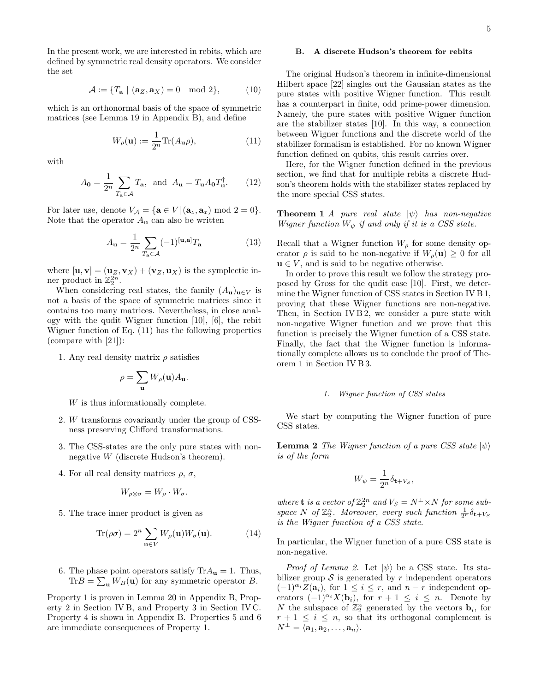In the present work, we are interested in rebits, which are defined by symmetric real density operators. We consider the set

$$
\mathcal{A} := \{ T_{\mathbf{a}} \mid (\mathbf{a}_Z, \mathbf{a}_X) = 0 \mod 2 \},\tag{10}
$$

which is an orthonormal basis of the space of symmetric matrices (see Lemma 19 in Appendix B), and define

$$
W_{\rho}(\mathbf{u}) := \frac{1}{2^n} \text{Tr}(A_{\mathbf{u}}\rho),\tag{11}
$$

with

$$
A_{\mathbf{0}} = \frac{1}{2^n} \sum_{T_{\mathbf{a}} \in \mathcal{A}} T_{\mathbf{a}}, \text{ and } A_{\mathbf{u}} = T_{\mathbf{u}} A_{\mathbf{0}} T_{\mathbf{u}}^{\dagger}.
$$
 (12)

For later use, denote  $V_A = {\mathbf{a} \in V | (\mathbf{a}_z, \mathbf{a}_x) \bmod 2 = 0}.$ Note that the operator  $A_{\mathbf{u}}$  can also be written

$$
A_{\mathbf{u}} = \frac{1}{2^n} \sum_{T_{\mathbf{a}} \in \mathcal{A}} (-1)^{[\mathbf{u}, \mathbf{a}]} T_{\mathbf{a}} \tag{13}
$$

where  $[\mathbf{u}, \mathbf{v}] = (\mathbf{u}_Z, \mathbf{v}_X) + (\mathbf{v}_Z, \mathbf{u}_X)$  is the symplectic inner product in  $\mathbb{Z}_2^{2n}$ .

When considering real states, the family  $(A_{\mathbf{u}})_{\mathbf{u}\in V}$  is not a basis of the space of symmetric matrices since it contains too many matrices. Nevertheless, in close analogy with the qudit Wigner function [10], [6], the rebit Wigner function of Eq. (11) has the following properties (compare with [21]):

1. Any real density matrix  $\rho$  satisfies

$$
\rho = \sum_{\mathbf{u}} W_{\rho}(\mathbf{u}) A_{\mathbf{u}}.
$$

W is thus informationally complete.

- 2. W transforms covariantly under the group of CSSness preserving Clifford transformations.
- 3. The CSS-states are the only pure states with nonnegative W (discrete Hudson's theorem).
- 4. For all real density matrices  $\rho$ ,  $\sigma$ ,

$$
W_{\rho \otimes \sigma} = W_{\rho} \cdot W_{\sigma}.
$$

5. The trace inner product is given as

$$
\text{Tr}(\rho \sigma) = 2^n \sum_{\mathbf{u} \in V} W_{\rho}(\mathbf{u}) W_{\sigma}(\mathbf{u}). \tag{14}
$$

6. The phase point operators satisfy  $Tr A_{\mathbf{u}} = 1$ . Thus,  $\text{Tr}B = \sum_{\mathbf{u}} W_B(\mathbf{u})$  for any symmetric operator B.

Property 1 is proven in Lemma 20 in Appendix B, Property 2 in Section IV B, and Property 3 in Section IV C. Property 4 is shown in Appendix B. Properties 5 and 6 are immediate consequences of Property 1.

### B. A discrete Hudson's theorem for rebits

The original Hudson's theorem in infinite-dimensional Hilbert space [22] singles out the Gaussian states as the pure states with positive Wigner function. This result has a counterpart in finite, odd prime-power dimension. Namely, the pure states with positive Wigner function are the stabilizer states [10]. In this way, a connection between Wigner functions and the discrete world of the stabilizer formalism is established. For no known Wigner function defined on qubits, this result carries over.

Here, for the Wigner function defined in the previous section, we find that for multiple rebits a discrete Hudson's theorem holds with the stabilizer states replaced by the more special CSS states.

**Theorem 1** A pure real state  $|\psi\rangle$  has non-negative Wigner function  $W_{\psi}$  if and only if it is a CSS state.

Recall that a Wigner function  $W_{\rho}$  for some density operator  $\rho$  is said to be non-negative if  $W_{\rho}(\mathbf{u}) \geq 0$  for all  $u \in V$ , and is said to be negative otherwise.

In order to prove this result we follow the strategy proposed by Gross for the qudit case [10]. First, we determine the Wigner function of CSS states in Section IV B 1, proving that these Wigner functions are non-negative. Then, in Section IV B 2, we consider a pure state with non-negative Wigner function and we prove that this function is precisely the Wigner function of a CSS state. Finally, the fact that the Wigner function is informationally complete allows us to conclude the proof of Theorem 1 in Section IV B 3.

### 1. Wigner function of CSS states

We start by computing the Wigner function of pure CSS states.

**Lemma 2** The Wigner function of a pure CSS state  $|\psi\rangle$ is of the form

$$
W_{\psi} = \frac{1}{2^n} \delta_{\mathbf{t} + V_S},
$$

where **t** is a vector of  $\mathbb{Z}_2^{2n}$  and  $V_S = N^{\perp} \times N$  for some subspace N of  $\mathbb{Z}_2^n$ . Moreover, every such function  $\frac{1}{2^n}\delta_{\mathbf{t}+V_S}$ is the Wigner function of a CSS state.

In particular, the Wigner function of a pure CSS state is non-negative.

*Proof of Lemma 2.* Let  $|\psi\rangle$  be a CSS state. Its stabilizer group  $\mathcal S$  is generated by r independent operators  $(-1)^{\alpha_i}Z(\mathbf{a}_i)$ , for  $1 \leq i \leq r$ , and  $n-r$  independent operators  $(-1)^{\alpha_i} X(\mathbf{b}_i)$ , for  $r + 1 \leq i \leq n$ . Denote by N the subspace of  $\mathbb{Z}_2^n$  generated by the vectors  $\mathbf{b}_i$ , for  $r + 1 \leq i \leq n$ , so that its orthogonal complement is  $N^{\perp} = \langle \mathbf{a}_1, \mathbf{a}_2, \ldots, \mathbf{a}_n \rangle.$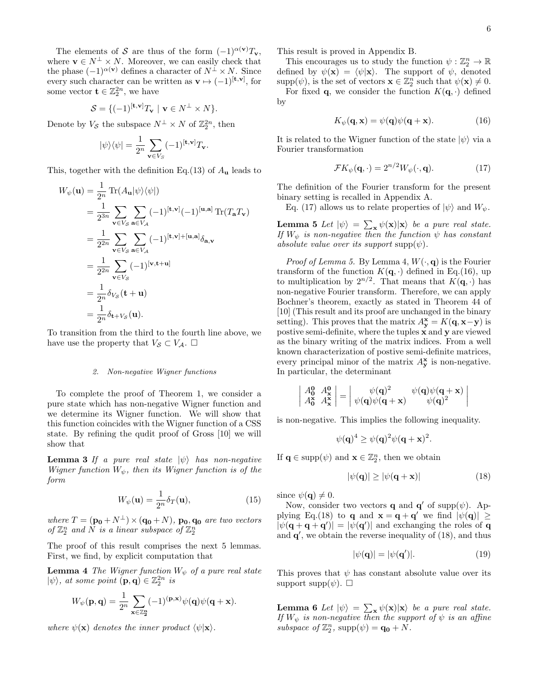The elements of S are thus of the form  $(-1)^{\alpha(\mathbf{v})}T_{\mathbf{v}},$ where  $\mathbf{v} \in N^{\perp} \times N$ . Moreover, we can easily check that the phase  $(-1)^{\alpha(\mathbf{v})}$  defines a character of  $N^{\perp} \times N$ . Since every such character can be written as  $\mathbf{v} \mapsto (-1)^{[\mathbf{t}, \mathbf{v}]}$ , for some vector  $\mathbf{t} \in \mathbb{Z}_2^{2n}$ , we have

$$
\mathcal{S} = \{ (-1)^{[\mathbf{t}, \mathbf{v}]} T_{\mathbf{v}} \mid \mathbf{v} \in N^{\perp} \times N \}.
$$

Denote by  $V_{\mathcal{S}}$  the subspace  $N^{\perp} \times N$  of  $\mathbb{Z}_2^{2n}$ , then

$$
|\psi\rangle\langle\psi| = \frac{1}{2^n} \sum_{\mathbf{v}\in V_S} (-1)^{[\mathbf{t},\mathbf{v}]} T_{\mathbf{v}}.
$$

This, together with the definition Eq.(13) of  $A_{\mathbf{u}}$  leads to

$$
W_{\psi}(\mathbf{u}) = \frac{1}{2^n} \operatorname{Tr}(A_{\mathbf{u}}|\psi\rangle\langle\psi|)
$$
  
\n
$$
= \frac{1}{2^{3n}} \sum_{\mathbf{v} \in V_{\mathcal{S}}} \sum_{\mathbf{a} \in V_{\mathcal{A}}} (-1)^{[\mathbf{t}, \mathbf{v}]} (-1)^{[\mathbf{u}, \mathbf{a}]} \operatorname{Tr}(T_{\mathbf{a}} T_{\mathbf{v}})
$$
  
\n
$$
= \frac{1}{2^{2n}} \sum_{\mathbf{v} \in V_{\mathcal{S}}} \sum_{\mathbf{a} \in V_{\mathcal{A}}} (-1)^{[\mathbf{t}, \mathbf{v}]+[\mathbf{u}, \mathbf{a}]} \delta_{\mathbf{a}, \mathbf{v}}
$$
  
\n
$$
= \frac{1}{2^{2n}} \sum_{\mathbf{v} \in V_{\mathcal{S}}} (-1)^{[\mathbf{v}, \mathbf{t}+\mathbf{u}]}
$$
  
\n
$$
= \frac{1}{2^n} \delta_{V_{\mathcal{S}}}(\mathbf{t} + \mathbf{u})
$$
  
\n
$$
= \frac{1}{2^n} \delta_{\mathbf{t} + V_{\mathcal{S}}}(\mathbf{u}).
$$

To transition from the third to the fourth line above, we have use the property that  $V_{\mathcal{S}} \subset V_{\mathcal{A}}$ .  $\Box$ 

#### 2. Non-negative Wigner functions

To complete the proof of Theorem 1, we consider a pure state which has non-negative Wigner function and we determine its Wigner function. We will show that this function coincides with the Wigner function of a CSS state. By refining the qudit proof of Gross [10] we will show that

**Lemma 3** If a pure real state  $|\psi\rangle$  has non-negative Wigner function  $W_{\psi}$ , then its Wigner function is of the form

$$
W_{\psi}(\mathbf{u}) = \frac{1}{2^n} \delta_T(\mathbf{u}),\tag{15}
$$

where  $T = (\mathbf{p_0} + N^{\perp}) \times (\mathbf{q_0} + N)$ ,  $\mathbf{p_0}, \mathbf{q_0}$  are two vectors of  $\mathbb{Z}_2^n$  and  $N$  is a linear subspace of  $\mathbb{Z}_2^n$ 

The proof of this result comprises the next 5 lemmas. First, we find, by explicit computation that

**Lemma 4** The Wigner function  $W_{\psi}$  of a pure real state  $|\psi\rangle$ , at some point  $(\mathbf{p}, \mathbf{q}) \in \mathbb{Z}_2^{2n}$  is

$$
W_{\psi}(\mathbf{p}, \mathbf{q}) = \frac{1}{2^n} \sum_{\mathbf{x} \in \mathbb{Z}_2^n} (-1)^{(\mathbf{p}, \mathbf{x})} \psi(\mathbf{q}) \psi(\mathbf{q} + \mathbf{x}).
$$

where  $\psi(\mathbf{x})$  denotes the inner product  $\langle \psi | \mathbf{x} \rangle$ .

This result is proved in Appendix B.

This encourages us to study the function  $\psi : \mathbb{Z}_2^n \to \mathbb{R}$ defined by  $\psi(\mathbf{x}) = \langle \psi | \mathbf{x} \rangle$ . The support of  $\psi$ , denoted  $\text{supp}(\psi)$ , is the set of vectors  $\mathbf{x} \in \mathbb{Z}_2^n$  such that  $\psi(\mathbf{x}) \neq 0$ .

For fixed **q**, we consider the function  $K(\mathbf{q}, \cdot)$  defined by

$$
K_{\psi}(\mathbf{q}, \mathbf{x}) = \psi(\mathbf{q})\psi(\mathbf{q} + \mathbf{x}). \tag{16}
$$

It is related to the Wigner function of the state  $|\psi\rangle$  via a Fourier transformation

$$
\mathcal{F}K_{\psi}(\mathbf{q},\cdot) = 2^{n/2}W_{\psi}(\cdot,\mathbf{q}).\tag{17}
$$

The definition of the Fourier transform for the present binary setting is recalled in Appendix A.

Eq. (17) allows us to relate properties of  $|\psi\rangle$  and  $W_{\psi}$ .

**Lemma 5** Let  $|\psi\rangle = \sum_{\mathbf{x}} \psi(\mathbf{x})|\mathbf{x}\rangle$  be a pure real state. If  $W_{\psi}$  is non-negative then the function  $\psi$  has constant absolute value over its support  $\text{supp}(\psi)$ .

*Proof of Lemma 5.* By Lemma 4,  $W(\cdot, \mathbf{q})$  is the Fourier transform of the function  $K(\mathbf{q}, \cdot)$  defined in Eq.(16), up to multiplication by  $2^{n/2}$ . That means that  $K(\mathbf{q},\cdot)$  has non-negative Fourier transform. Therefore, we can apply Bochner's theorem, exactly as stated in Theorem 44 of [10] (This result and its proof are unchanged in the binary setting). This proves that the matrix  $A_{\mathbf{y}}^{\mathbf{x}} = K(\mathbf{q}, \mathbf{x} - \mathbf{y})$  is postive semi-definite, where the tuples x and y are viewed as the binary writing of the matrix indices. From a well known characterization of postive semi-definite matrices, every principal minor of the matrix  $A_{\mathbf{y}}^{\mathbf{x}}$  is non-negative. In particular, the determinant

$$
\begin{vmatrix} A_0^{\mathbf{0}} & A_\mathbf{x}^{\mathbf{0}} \\ A_0^{\mathbf{x}} & A_\mathbf{x}^{\mathbf{x}} \end{vmatrix} = \begin{vmatrix} \psi(\mathbf{q})^2 & \psi(\mathbf{q})\psi(\mathbf{q} + \mathbf{x}) \\ \psi(\mathbf{q})\psi(\mathbf{q} + \mathbf{x}) & \psi(\mathbf{q})^2 \end{vmatrix}
$$

is non-negative. This implies the following inequality.

 $\psi(\mathbf{q})^4 \geq \psi(\mathbf{q})^2 \psi(\mathbf{q}+\mathbf{x})^2.$ 

If  $\mathbf{q} \in \text{supp}(\psi)$  and  $\mathbf{x} \in \mathbb{Z}_2^n$ , then we obtain

$$
|\psi(\mathbf{q})| \ge |\psi(\mathbf{q} + \mathbf{x})| \tag{18}
$$

since  $\psi(\mathbf{q}) \neq 0$ .

 $\bigg\}$  $\overline{\phantom{a}}$  $\overline{\phantom{a}}$  $\vert$ 

Now, consider two vectors **q** and **q'** of supp $(\psi)$ . Applying Eq.(18) to **q** and  $\mathbf{x} = \mathbf{q} + \mathbf{q}'$  we find  $|\psi(\mathbf{q})| \geq$  $|\psi(\mathbf{q}+\mathbf{q}+\mathbf{q}')| = |\psi(\mathbf{q}')|$  and exchanging the roles of q and  $q'$ , we obtain the reverse inequality of  $(18)$ , and thus

$$
|\psi(\mathbf{q})| = |\psi(\mathbf{q}')|.\tag{19}
$$

This proves that  $\psi$  has constant absolute value over its support supp $(\psi)$ .  $\Box$ 

**Lemma 6** Let  $|\psi\rangle = \sum_{\mathbf{x}} \psi(\mathbf{x})|\mathbf{x}\rangle$  be a pure real state. If  $W_{\psi}$  is non-negative then the support of  $\psi$  is an affine subspace of  $\mathbb{Z}_2^n$ , supp $(\psi) = \mathbf{q_0} + N$ .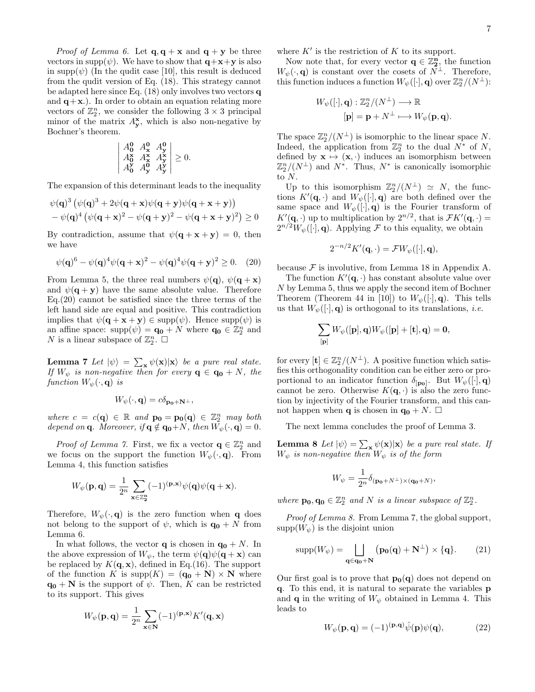*Proof of Lemma 6.* Let  $\mathbf{q}, \mathbf{q} + \mathbf{x}$  and  $\mathbf{q} + \mathbf{y}$  be three vectors in supp $(\psi)$ . We have to show that  $\mathbf{q}+\mathbf{x}+\mathbf{y}$  is also in supp $(\psi)$  (In the qudit case [10], this result is deduced from the qudit version of Eq. (18). This strategy cannot be adapted here since Eq. (18) only involves two vectors q and  $q+x$ .). In order to obtain an equation relating more vectors of  $\mathbb{Z}_2^n$ , we consider the following  $3 \times 3$  principal minor of the matrix  $A_{\mathbf{y}}^{\mathbf{x}}$ , which is also non-negative by Bochner's theorem.

$$
\begin{vmatrix} A_0^0 & A_{\mathbf{x}}^0 & A_{\mathbf{y}}^0 \\ A_0^{\mathbf{x}} & A_{\mathbf{x}}^{\mathbf{x}} & A_{\mathbf{y}}^{\mathbf{x}} \\ A_0^{\mathbf{y}} & A_{\mathbf{y}}^0 & A_{\mathbf{y}}^{\mathbf{y}} \end{vmatrix} \geq 0.
$$

The expansion of this determinant leads to the inequality

$$
\psi(\mathbf{q})^3 \left( \psi(\mathbf{q})^3 + 2\psi(\mathbf{q} + \mathbf{x})\psi(\mathbf{q} + \mathbf{y})\psi(\mathbf{q} + \mathbf{x} + \mathbf{y}) \right) \n- \psi(\mathbf{q})^4 \left( \psi(\mathbf{q} + \mathbf{x})^2 - \psi(\mathbf{q} + \mathbf{y})^2 - \psi(\mathbf{q} + \mathbf{x} + \mathbf{y})^2 \right) \ge 0
$$

By contradiction, assume that  $\psi(\mathbf{q} + \mathbf{x} + \mathbf{y}) = 0$ , then we have

$$
\psi(\mathbf{q})^6 - \psi(\mathbf{q})^4 \psi(\mathbf{q} + \mathbf{x})^2 - \psi(\mathbf{q})^4 \psi(\mathbf{q} + \mathbf{y})^2 \ge 0. \tag{20}
$$

From Lemma 5, the three real numbers  $\psi(\mathbf{q}), \psi(\mathbf{q} + \mathbf{x})$ and  $\psi(\mathbf{q} + \mathbf{v})$  have the same absolute value. Therefore Eq.(20) cannot be satisfied since the three terms of the left hand side are equal and positive. This contradiction implies that  $\psi(\mathbf{q} + \mathbf{x} + \mathbf{y}) \in \text{supp}(\psi)$ . Hence  $\text{supp}(\psi)$  is an affine space:  $\text{supp}(\psi) = \mathbf{q_0} + N$  where  $\mathbf{q_0} \in \mathbb{Z}_2^n$  and N is a linear subspace of  $\mathbb{Z}_2^n$ .  $\square$ 

**Lemma 7** Let  $|\psi\rangle = \sum_{\mathbf{x}} \psi(\mathbf{x})|\mathbf{x}\rangle$  be a pure real state. If  $W_{\psi}$  is non-negative then for every  $\mathbf{q} \in \mathbf{q_0} + N$ , the function  $W_{\psi}(\cdot, \mathbf{q})$  is

$$
W_{\psi}(\cdot, \mathbf{q}) = c\delta_{\mathbf{p_0} + \mathbf{N}^{\perp}},
$$

where  $c = c(\mathbf{q}) \in \mathbb{R}$  and  $\mathbf{p_0} = \mathbf{p_0}(\mathbf{q}) \in \mathbb{Z}_2^n$  may both depend on **q**. Moreover, if  $\mathbf{q} \notin \mathbf{q_0}+N$ , then  $W_{\psi}(\cdot, \mathbf{q}) = 0$ .

*Proof of Lemma 7.* First, we fix a vector  $\mathbf{q} \in \mathbb{Z}_2^n$  and we focus on the support the function  $W_{\psi}(\cdot, \mathbf{q})$ . From Lemma 4, this function satisfies

$$
W_{\psi}(\mathbf{p}, \mathbf{q}) = \frac{1}{2^n} \sum_{\mathbf{x} \in \mathbb{Z}_2^n} (-1)^{(\mathbf{p}, \mathbf{x})} \psi(\mathbf{q}) \psi(\mathbf{q} + \mathbf{x}).
$$

Therefore,  $W_{\psi}(\cdot, \mathbf{q})$  is the zero function when **q** does not belong to the support of  $\psi$ , which is  $\mathbf{q_0} + N$  from Lemma 6.

In what follows, the vector **q** is chosen in  $q_0 + N$ . In the above expression of  $W_{\psi}$ , the term  $\psi(\mathbf{q})\psi(\mathbf{q}+\mathbf{x})$  can be replaced by  $K(\mathbf{q}, \mathbf{x})$ , defined in Eq.(16). The support of the function K is  $\text{supp}(K) = (\mathbf{q_0} + \mathbf{N}) \times \mathbf{N}$  where  $\mathbf{q_0} + \mathbf{N}$  is the support of  $\psi$ . Then, K can be restricted to its support. This gives

$$
W_{\psi}(\mathbf{p}, \mathbf{q}) = \frac{1}{2^n} \sum_{\mathbf{x} \in \mathbf{N}} (-1)^{(\mathbf{p}, \mathbf{x})} K'(\mathbf{q}, \mathbf{x})
$$

where  $K'$  is the restriction of K to its support.

Now note that, for every vector  $\mathbf{q} \in \mathbb{Z}_2^n$ , the function  $W_{\psi}(\cdot, \mathbf{q})$  is constant over the cosets of  $\overline{N}^{\perp}$ . Therefore, this function induces a function  $W_\psi([\cdot], \mathbf{q})$  over  $\mathbb{Z}_2^n/(N^\perp)$ :

$$
W_{\psi}([\cdot], \mathbf{q}) : \mathbb{Z}_2^n / (N^{\perp}) \longrightarrow \mathbb{R}
$$

$$
[\mathbf{p}] = \mathbf{p} + N^{\perp} \longmapsto W_{\psi}(\mathbf{p}, \mathbf{q}).
$$

The space  $\mathbb{Z}_2^n/(N^{\perp})$  is isomorphic to the linear space N. Indeed, the application from  $\mathbb{Z}_2^n$  to the dual  $N^*$  of N, defined by  $\mathbf{x} \mapsto (\mathbf{x}, \cdot)$  induces an isomorphism between  $\mathbb{Z}_2^n/(N^{\perp})$  and  $N^*$ . Thus,  $N^*$  is canonically isomorphic to N.

Up to this isomorphism  $\mathbb{Z}_2^n/(N^{\perp}) \simeq N$ , the functions  $K'(\mathbf{q},.)$  and  $W_{\psi}([\cdot], \mathbf{q})$  are both defined over the same space and  $W_{\psi}([\cdot], \mathbf{q})$  is the Fourier transform of  $K'(\mathbf{q},\cdot)$  up to multiplication by  $2^{n/2}$ , that is  $\mathcal{F}K'(\mathbf{q},\cdot)$  $2^{n/2}W_{\psi}([\cdot], \mathbf{q})$ . Applying F to this equality, we obtain

$$
2^{-n/2}K'(\mathbf{q},\cdot) = \mathcal{F}W_{\psi}([\cdot], \mathbf{q}),
$$

because  $\mathcal F$  is involutive, from Lemma 18 in Appendix A.

The function  $K'(\mathbf{q}, \cdot)$  has constant absolute value over N by Lemma 5, thus we apply the second item of Bochner Theorem (Theorem 44 in [10]) to  $W_{\psi}([\cdot], \mathbf{q})$ . This tells us that  $W_{\psi}(\cdot |, \mathbf{q})$  is orthogonal to its translations, *i.e.* 

$$
\sum_{\bf [p]} W_{\psi}({\bf [p],q}) W_{\psi}({\bf [p]+[t],q}) = 0,
$$

for every  $[\mathbf{t}] \in \mathbb{Z}_2^n/(N^{\perp})$ . A positive function which satisfies this orthogonality condition can be either zero or proportional to an indicator function  $\delta_{\bf [p_0]}$ . But  $W_\psi([\cdot], \mathbf{q})$ cannot be zero. Otherwise  $K(\mathbf{q},\cdot)$  is also the zero function by injectivity of the Fourier transform, and this cannot happen when **q** is chosen in  $\mathbf{q_0} + N$ .  $\Box$ 

The next lemma concludes the proof of Lemma 3.

**Lemma 8** Let  $|\psi\rangle = \sum_{\mathbf{x}} \psi(\mathbf{x}) |\mathbf{x}\rangle$  be a pure real state. If  $W_{\psi}$  is non-negative then  $W_{\psi}$  is of the form

$$
W_{\psi} = \frac{1}{2^n} \delta_{(\mathbf{p_0} + N^{\perp}) \times (\mathbf{q_0} + N)},
$$

where  $\mathbf{p_0}, \mathbf{q_0} \in \mathbb{Z}_2^n$  and N is a linear subspace of  $\mathbb{Z}_2^n$ .

Proof of Lemma 8. From Lemma 7, the global support,  $supp(W_{\psi})$  is the disjoint union

$$
supp(W_{\psi}) = \bigsqcup_{\mathbf{q} \in \mathbf{q_0} + \mathbf{N}} \left( \mathbf{p_0}(\mathbf{q}) + \mathbf{N}^{\perp} \right) \times \{ \mathbf{q} \}. \tag{21}
$$

Our first goal is to prove that  $p_0(q)$  does not depend on q. To this end, it is natural to separate the variables p and **q** in the writing of  $W_{\psi}$  obtained in Lemma 4. This leads to

$$
W_{\psi}(\mathbf{p}, \mathbf{q}) = (-1)^{(\mathbf{p}, \mathbf{q})} \hat{\psi}(\mathbf{p}) \psi(\mathbf{q}), \qquad (22)
$$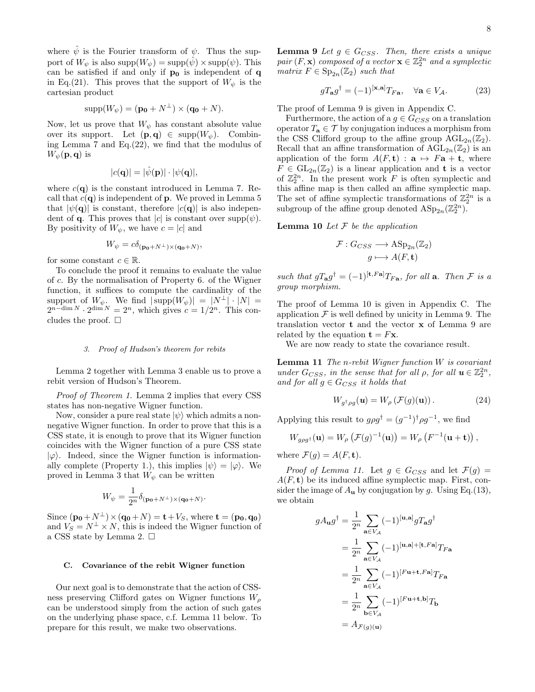where  $\psi$  is the Fourier transform of  $\psi$ . Thus the support of  $W_{\psi}$  is also supp $(W_{\psi}) = \text{supp}(\hat{\psi}) \times \text{supp}(\psi)$ . This can be satisfied if and only if  $\mathbf{p_0}$  is independent of  $\mathbf{q}$ in Eq.(21). This proves that the support of  $W_{\psi}$  is the cartesian product

$$
supp(W_{\psi}) = (\mathbf{p_0} + N^{\perp}) \times (\mathbf{q_0} + N).
$$

Now, let us prove that  $W_{\psi}$  has constant absolute value over its support. Let  $(\mathbf{p}, \mathbf{q}) \in \text{supp}(W_{\psi})$ . Combining Lemma 7 and Eq.(22), we find that the modulus of  $W_{\psi}(\mathbf{p}, \mathbf{q})$  is

$$
|c(\mathbf{q})| = |\hat{\psi}(\mathbf{p})| \cdot |\psi(\mathbf{q})|,
$$

where  $c(\mathbf{q})$  is the constant introduced in Lemma 7. Recall that  $c(\mathbf{q})$  is independent of **p**. We proved in Lemma 5 that  $|\psi(\mathbf{q})|$  is constant, therefore  $|c(\mathbf{q})|$  is also independent of **q**. This proves that |c| is constant over  $supp(\psi)$ . By positivity of  $W_{\psi}$ , we have  $c = |c|$  and

$$
W_{\psi} = c\delta_{(\mathbf{p_0} + N^{\perp}) \times (\mathbf{q_0} + N)},
$$

for some constant  $c \in \mathbb{R}$ .

To conclude the proof it remains to evaluate the value of c. By the normalisation of Property 6. of the Wigner function, it suffices to compute the cardinality of the support of  $W_{\psi}$ . We find  $|\text{supp}(W_{\psi})| = |N^{\perp}| \cdot |N| =$  $2^{n-\dim N} \cdot 2^{\dim N} = 2^n$ , which gives  $c = 1/2^n$ . This concludes the proof.  $\square$ 

#### 3. Proof of Hudson's theorem for rebits

Lemma 2 together with Lemma 3 enable us to prove a rebit version of Hudson's Theorem.

Proof of Theorem 1. Lemma 2 implies that every CSS states has non-negative Wigner function.

Now, consider a pure real state  $|\psi\rangle$  which admits a nonnegative Wigner function. In order to prove that this is a CSS state, it is enough to prove that its Wigner function coincides with the Wigner function of a pure CSS state  $|\varphi\rangle$ . Indeed, since the Wigner function is informationally complete (Property 1.), this implies  $|\psi\rangle = |\varphi\rangle$ . We proved in Lemma 3 that  $W_{\psi}$  can be written

$$
W_\psi = \frac{1}{2^n} \delta_{({\bf p_0}+N^\perp) \times ({\bf q_0}+N)}.
$$

Since  $(\mathbf{p_0} + N^{\perp}) \times (\mathbf{q_0} + N) = \mathbf{t} + V_S$ , where  $\mathbf{t} = (\mathbf{p_0}, \mathbf{q_0})$ and  $V_S = N^{\perp} \times N$ , this is indeed the Wigner function of a CSS state by Lemma 2.  $\square$ 

## C. Covariance of the rebit Wigner function

Our next goal is to demonstrate that the action of CSSness preserving Clifford gates on Wigner functions  $W_{\rho}$ can be understood simply from the action of such gates on the underlying phase space, c.f. Lemma 11 below. To prepare for this result, we make two observations.

**Lemma 9** Let  $g \in G_{CSS}$ . Then, there exists a unique pair  $(F, \mathbf{x})$  composed of a vector  $\mathbf{x} \in \mathbb{Z}_2^{2n}$  and a symplectic matrix  $F \in \mathrm{Sp}_{2n}(\mathbb{Z}_2)$  such that

$$
gT_{\mathbf{a}}g^{\dagger} = (-1)^{[\mathbf{x}, \mathbf{a}]}T_{F\mathbf{a}}, \quad \forall \mathbf{a} \in V_{\mathcal{A}}.
$$
 (23)

The proof of Lemma 9 is given in Appendix C.

Furthermore, the action of a  $g \in G_{CSS}$  on a translation operator  $T_a \in \mathcal{T}$  by conjugation induces a morphism from the CSS Clifford group to the affine group  $\text{AGL}_{2n}(\mathbb{Z}_2)$ . Recall that an affine transformation of  $\mathrm{AGL}_{2n}(\mathbb{Z}_2)$  is an application of the form  $A(F, t) : \mathbf{a} \mapsto F\mathbf{a} + \mathbf{t}$ , where  $F \in GL_{2n}(\mathbb{Z}_2)$  is a linear application and **t** is a vector of  $\mathbb{Z}_2^{2n}$ . In the present work F is often symplectic and this affine map is then called an affine symplectic map. The set of affine symplectic transformations of  $\mathbb{Z}_2^{2n}$  is a subgroup of the affine group denoted  $\text{ASp}_{2n}(\mathbb{Z}_2^{2n})$ .

**Lemma 10** Let  $F$  be the application

$$
\mathcal{F}: G_{CSS} \longrightarrow \mathrm{ASp}_{2n}(\mathbb{Z}_2)
$$

$$
g \longmapsto A(F, \mathbf{t})
$$

such that  $gT_{\bf a}g^{\dagger} = (-1)^{[\bf t, Fa]}T_{F{\bf a}}$ , for all  ${\bf a}$ . Then  ${\cal F}$  is a group morphism.

The proof of Lemma 10 is given in Appendix C. The application  $\mathcal F$  is well defined by unicity in Lemma 9. The translation vector t and the vector x of Lemma 9 are related by the equation  $\mathbf{t} = F\mathbf{x}$ .

We are now ready to state the covariance result.

**Lemma 11** The n-rebit Wigner function  $W$  is covariant under  $G_{CSS}$ , in the sense that for all  $\rho$ , for all  $\mathbf{u} \in \mathbb{Z}_2^{2n}$ , and for all  $g \in G_{CSS}$  it holds that

$$
W_{g^{\dagger}\rho g}(\mathbf{u}) = W_{\rho} \left( \mathcal{F}(g)(\mathbf{u}) \right). \tag{24}
$$

Applying this result to  $g\rho g^{\dagger} = (g^{-1})^{\dagger} \rho g^{-1}$ , we find

$$
W_{g\rho g^{\dagger}}(\mathbf{u}) = W_{\rho} \left( \mathcal{F}(g)^{-1}(\mathbf{u}) \right) = W_{\rho} \left( F^{-1}(\mathbf{u} + \mathbf{t}) \right),
$$

where  $\mathcal{F}(g) = A(F, \mathbf{t}).$ 

*Proof of Lemma 11.* Let  $g \in G_{CSS}$  and let  $\mathcal{F}(g) =$  $A(F, t)$  be its induced affine symplectic map. First, consider the image of  $A_u$  by conjugation by g. Using Eq.(13), we obtain

$$
gA_{\mathbf{u}}g^{\dagger} = \frac{1}{2^n} \sum_{\mathbf{a}\in V_{\mathcal{A}}} (-1)^{[\mathbf{u}, \mathbf{a}]} gT_{\mathbf{a}}g^{\dagger}
$$
  
\n
$$
= \frac{1}{2^n} \sum_{\mathbf{a}\in V_{\mathcal{A}}} (-1)^{[\mathbf{u}, \mathbf{a}]+[\mathbf{t}, F\mathbf{a}]} T_{F\mathbf{a}}
$$
  
\n
$$
= \frac{1}{2^n} \sum_{\mathbf{a}\in V_{\mathcal{A}}} (-1)^{[F\mathbf{u}+\mathbf{t}, F\mathbf{a}]} T_{F\mathbf{a}}
$$
  
\n
$$
= \frac{1}{2^n} \sum_{\mathbf{b}\in V_{\mathcal{A}}} (-1)^{[F\mathbf{u}+\mathbf{t}, \mathbf{b}]} T_{\mathbf{b}}
$$
  
\n
$$
= A_{\mathcal{F}(g)(\mathbf{u})}
$$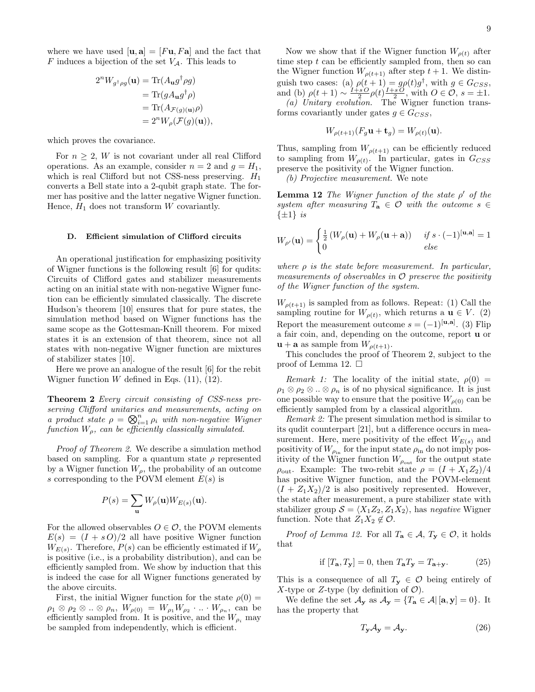where we have used  $[\mathbf{u}, \mathbf{a}] = [F\mathbf{u}, F\mathbf{a}]$  and the fact that F induces a bijection of the set  $V_A$ . This leads to

$$
2^n W_{g^\dagger \rho g}(\mathbf{u}) = \text{Tr}(A_\mathbf{u} g^\dagger \rho g)
$$
  
= 
$$
\text{Tr}(g A_\mathbf{u} g^\dagger \rho)
$$
  
= 
$$
\text{Tr}(A_{\mathcal{F}(g)(\mathbf{u})} \rho)
$$
  
= 
$$
2^n W_\rho(\mathcal{F}(g)(\mathbf{u})),
$$

which proves the covariance.

For  $n \geq 2$ , W is not covariant under all real Clifford operations. As an example, consider  $n = 2$  and  $g = H_1$ , which is real Clifford but not CSS-ness preserving.  $H_1$ converts a Bell state into a 2-qubit graph state. The former has positive and the latter negative Wigner function. Hence,  $H_1$  does not transform  $W$  covariantly.

## D. Efficient simulation of Clifford circuits

An operational justification for emphasizing positivity of Wigner functions is the following result [6] for qudits: Circuits of Clifford gates and stabilizer measurements acting on an initial state with non-negative Wigner function can be efficiently simulated classically. The discrete Hudson's theorem [10] ensures that for pure states, the simulation method based on Wigner functions has the same scope as the Gottesman-Knill theorem. For mixed states it is an extension of that theorem, since not all states with non-negative Wigner function are mixtures of stabilizer states [10].

Here we prove an analogue of the result [6] for the rebit Wigner function  $W$  defined in Eqs. (11), (12).

Theorem 2 Every circuit consisting of CSS-ness preserving Clifford unitaries and measurements, acting on a product state  $\rho = \bigotimes_{i=1}^n \rho_i$  with non-negative Wigner function  $W<sub>\rho</sub>$ , can be efficiently classically simulated.

Proof of Theorem 2. We describe a simulation method based on sampling. For a quantum state  $\rho$  represented by a Wigner function  $W_{\rho}$ , the probability of an outcome s corresponding to the POVM element  $E(s)$  is

$$
P(s) = \sum_{\mathbf{u}} W_{\rho}(\mathbf{u}) W_{E(s)}(\mathbf{u}).
$$

For the allowed observables  $O \in \mathcal{O}$ , the POVM elements  $E(s) = (I + sO)/2$  all have positive Wigner function  $W_{E(s)}$ . Therefore,  $P(s)$  can be efficiently estimated if  $W_{\rho}$ is positive (i.e., is a probability distribution), and can be efficiently sampled from. We show by induction that this is indeed the case for all Wigner functions generated by the above circuits.

First, the initial Wigner function for the state  $\rho(0)$  =  $\rho_1 \otimes \rho_2 \otimes ... \otimes \rho_n$ ,  $W_{\rho(0)} = W_{\rho_1} W_{\rho_2} \cdot ... \cdot W_{\rho_n}$ , can be efficiently sampled from. It is positive, and the  $W_{\rho_i}$  may be sampled from independently, which is efficient.

Now we show that if the Wigner function  $W_{\rho(t)}$  after time step  $t$  can be efficiently sampled from, then so can the Wigner function  $W_{\rho(t+1)}$  after step  $t+1$ . We distinguish two cases: (a)  $\rho(t+1) = g\rho(t)g^{\dagger}$ , with  $g \in G_{CSS}$ , and (b)  $\rho(t+1) \sim \frac{I+sO}{2} \rho(t) \frac{I+sO}{2}$ , with  $O \in \mathcal{O}$ ,  $s = \pm 1$ . (a) Unitary evolution. The Wigner function trans-

forms covariantly under gates  $q \in G_{CSS}$ ,

$$
W_{\rho(t+1)}(F_g \mathbf{u} + \mathbf{t}_g) = W_{\rho(t)}(\mathbf{u}).
$$

Thus, sampling from  $W_{\rho(t+1)}$  can be efficiently reduced to sampling from  $W_{\rho(t)}$ . In particular, gates in  $G_{CSS}$ preserve the positivity of the Wigner function.

(b) Projective measurement. We note

**Lemma 12** The Wigner function of the state  $\rho'$  of the system after measuring  $T_a \in \mathcal{O}$  with the outcome  $s \in$  $\{\pm 1\}$  is

$$
W_{\rho'}(\mathbf{u}) = \begin{cases} \frac{1}{2} \left( W_{\rho}(\mathbf{u}) + W_{\rho}(\mathbf{u} + \mathbf{a}) \right) & \text{if } s \cdot (-1)^{[\mathbf{u}, \mathbf{a}]} = 1\\ 0 & \text{else} \end{cases}
$$

where  $\rho$  is the state before measurement. In particular, measurements of observables in  $\mathcal O$  preserve the positivity of the Wigner function of the system.

 $W_{\rho(t+1)}$  is sampled from as follows. Repeat: (1) Call the sampling routine for  $W_{\rho(t)}$ , which returns a  $\mathbf{u} \in V$ . (2) Report the measurement outcome  $s = (-1)^{[\mathbf{u}, \mathbf{a}]}$ . (3) Flip a fair coin, and, depending on the outcome, report u or  $\mathbf{u} + \mathbf{a}$  as sample from  $W_{\rho(t+1)}$ .

This concludes the proof of Theorem 2, subject to the proof of Lemma 12.  $\square$ 

Remark 1: The locality of the initial state,  $\rho(0)$  =  $\rho_1 \otimes \rho_2 \otimes \ldots \otimes \rho_n$  is of no physical significance. It is just one possible way to ensure that the positive  $W_{\rho(0)}$  can be efficiently sampled from by a classical algorithm.

Remark 2: The present simulation method is similar to its qudit counterpart [21], but a difference occurs in measurement. Here, mere positivity of the effect  $W_{E(s)}$  and positivity of  $W_{\rho_{\text{in}}}$  for the input state  $\rho_{\text{in}}$  do not imply positivity of the Wigner function  $W_{\rho_{\text{out}}}$  for the output state  $\rho_{\text{out}}$ . Example: The two-rebit state  $\rho = (I + X_1 Z_2)/4$ has positive Wigner function, and the POVM-element  $(I + Z_1 X_2)/2$  is also positively represented. However, the state after measurement, a pure stabilizer state with stabilizer group  $S = \langle X_1 Z_2, Z_1 X_2 \rangle$ , has negative Wigner function. Note that  $Z_1X_2 \notin \mathcal{O}$ .

*Proof of Lemma 12.* For all  $T_a \in \mathcal{A}, T_y \in \mathcal{O}$ , it holds that

$$
\text{if } [T_{\mathbf{a}}, T_{\mathbf{y}}] = 0 \text{, then } T_{\mathbf{a}} T_{\mathbf{y}} = T_{\mathbf{a} + \mathbf{y}}.\tag{25}
$$

This is a consequence of all  $T_y \in \mathcal{O}$  being entirely of X-type or Z-type (by definition of  $\mathcal{O}$ ).

We define the set  $\mathcal{A}_{\mathbf{y}}$  as  $\mathcal{A}_{\mathbf{y}} = \{T_{\mathbf{a}} \in \mathcal{A} | [\mathbf{a}, \mathbf{y}] = 0\}$ . It has the property that

$$
T_{\mathbf{y}}\mathcal{A}_{\mathbf{y}} = \mathcal{A}_{\mathbf{y}}.\tag{26}
$$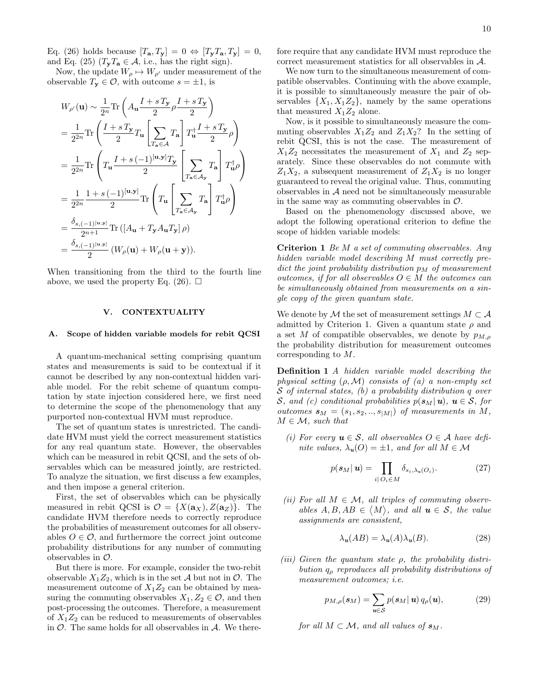Eq. (26) holds because  $[T_{\mathbf{a}}, T_{\mathbf{y}}] = 0 \Leftrightarrow [T_{\mathbf{y}} T_{\mathbf{a}}, T_{\mathbf{y}}] = 0$ , and Eq. (25)  $(T_yT_a \in \mathcal{A}$ , i.e., has the right sign).

Now, the update  $W_{\rho} \mapsto W_{\rho'}$  under measurement of the observable  $T_{\mathbf{y}} \in \mathcal{O}$ , with outcome  $s = \pm 1$ , is

$$
W_{\rho'}(\mathbf{u}) \sim \frac{1}{2^n} \text{Tr}\left(A_\mathbf{u} \frac{I + s\,T_\mathbf{y}}{2} \rho \frac{I + s\,T_\mathbf{y}}{2}\right)
$$
  
=  $\frac{1}{2^{2n}} \text{Tr}\left(\frac{I + s\,T_\mathbf{y}}{2} T_\mathbf{u} \left[\sum_{T_\mathbf{a} \in \mathcal{A}} T_\mathbf{a}\right] T_\mathbf{u}^\dagger \frac{I + s\,T_\mathbf{y}}{2} \rho\right)$   
=  $\frac{1}{2^{2n}} \text{Tr}\left(T_\mathbf{u} \frac{I + s(-1)^{[\mathbf{u}, \mathbf{y}]} T_\mathbf{y}}{2} \left[\sum_{T_\mathbf{a} \in \mathcal{A}_{\mathbf{y}}} T_\mathbf{a}\right] T_\mathbf{u}^\dagger \rho\right)$   
=  $\frac{1}{2^{2n}} \frac{1 + s(-1)^{[\mathbf{u}, \mathbf{y}]}}{2} \text{Tr}\left(T_\mathbf{u} \left[\sum_{T_\mathbf{a} \in \mathcal{A}_{\mathbf{y}}} T_\mathbf{a}\right] T_\mathbf{u}^\dagger \rho\right)$   
=  $\frac{\delta_{s, (-1)^{[\mathbf{u}, \mathbf{y}]}}}{2^{n+1}} \text{Tr}\left([A_\mathbf{u} + T_\mathbf{y} A_\mathbf{u} T_\mathbf{y}]\rho\right)$   
=  $\frac{\delta_{s, (-1)^{[\mathbf{u}, \mathbf{y}]}}}{2} (W_\rho(\mathbf{u}) + W_\rho(\mathbf{u} + \mathbf{y})).$ 

When transitioning from the third to the fourth line above, we used the property Eq. (26).  $\Box$ 

## V. CONTEXTUALITY

### A. Scope of hidden variable models for rebit QCSI

A quantum-mechanical setting comprising quantum states and measurements is said to be contextual if it cannot be described by any non-contextual hidden variable model. For the rebit scheme of quantum computation by state injection considered here, we first need to determine the scope of the phenomenology that any purported non-contextual HVM must reproduce.

The set of quantum states is unrestricted. The candidate HVM must yield the correct measurement statistics for any real quantum state. However, the observables which can be measured in rebit QCSI, and the sets of observables which can be measured jointly, are restricted. To analyze the situation, we first discuss a few examples, and then impose a general criterion.

First, the set of observables which can be physically measured in rebit QCSI is  $\mathcal{O} = \{X(\mathbf{a}_X), Z(\mathbf{a}_Z)\}\$ . The candidate HVM therefore needs to correctly reproduce the probabilities of measurement outcomes for all observables  $O \in \mathcal{O}$ , and furthermore the correct joint outcome probability distributions for any number of commuting observables in  $\mathcal{O}$ .

But there is more. For example, consider the two-rebit observable  $X_1Z_2$ , which is in the set A but not in O. The measurement outcome of  $X_1Z_2$  can be obtained by measuring the commuting observables  $X_1, Z_2 \in \mathcal{O}$ , and then post-processing the outcomes. Therefore, a measurement of  $X_1Z_2$  can be reduced to measurements of observables in  $\mathcal{O}$ . The same holds for all observables in  $\mathcal{A}$ . We therefore require that any candidate HVM must reproduce the correct measurement statistics for all observables in A.

We now turn to the simultaneous measurement of compatible observables. Continuing with the above example, it is possible to simultaneously measure the pair of observables  $\{X_1, X_1Z_2\}$ , namely by the same operations that measured  $X_1Z_2$  alone.

Now, is it possible to simultaneously measure the commuting observables  $X_1Z_2$  and  $Z_1X_2$ ? In the setting of rebit QCSI, this is not the case. The measurement of  $X_1Z_2$  necessitates the measurement of  $X_1$  and  $Z_2$  separately. Since these observables do not commute with  $Z_1X_2$ , a subsequent measurement of  $Z_1X_2$  is no longer guaranteed to reveal the original value. Thus, commuting observables in  $A$  need not be simultaneously measurable in the same way as commuting observables in  $\mathcal{O}$ .

Based on the phenomenology discussed above, we adopt the following operational criterion to define the scope of hidden variable models:

Criterion 1 Be M a set of commuting observables. Any hidden variable model describing M must correctly predict the joint probability distribution  $p_M$  of measurement outcomes, if for all observables  $O \in M$  the outcomes can be simultaneously obtained from measurements on a single copy of the given quantum state.

We denote by M the set of measurement settings  $M \subset \mathcal{A}$ admitted by Criterion 1. Given a quantum state  $\rho$  and a set M of compatible observables, we denote by  $p_{M,\rho}$ the probability distribution for measurement outcomes corresponding to M.

Definition 1 A hidden variable model describing the physical setting  $(\rho, \mathcal{M})$  consists of  $(a)$  a non-empty set S of internal states, (b) a probability distribution q over S, and (c) conditional probabilities  $p(\mathbf{s}_M|\mathbf{u})$ ,  $\mathbf{u} \in \mathcal{S}$ , for outcomes  $s_M = (s_1, s_2, \ldots, s_{|M|})$  of measurements in M,  $M \in \mathcal{M}$ , such that

(i) For every  $u \in S$ , all observables  $O \in A$  have definite values,  $\lambda_u(O) = \pm 1$ , and for all  $M \in \mathcal{M}$ 

$$
p(\mathbf{s}_M|\mathbf{u}) = \prod_{i \mid O_i \in M} \delta_{s_i, \lambda_u(O_i)}.
$$
 (27)

(ii) For all  $M \in \mathcal{M}$ , all triples of commuting observables  $A, B, AB \in \langle M \rangle$ , and all  $u \in S$ , the value assignments are consistent,

$$
\lambda_u(AB) = \lambda_u(A)\lambda_u(B). \tag{28}
$$

(iii) Given the quantum state  $\rho$ , the probability distribution  $q_{\rho}$  reproduces all probability distributions of measurement outcomes; i.e.

$$
p_{M,\rho}(\mathbf{s}_M)=\sum_{\mathbf{u}\in\mathcal{S}}p(\mathbf{s}_M|\mathbf{u})q_{\rho}(\mathbf{u}),\qquad(29)
$$

for all  $M \subset \mathcal{M}$ , and all values of  $s_M$ .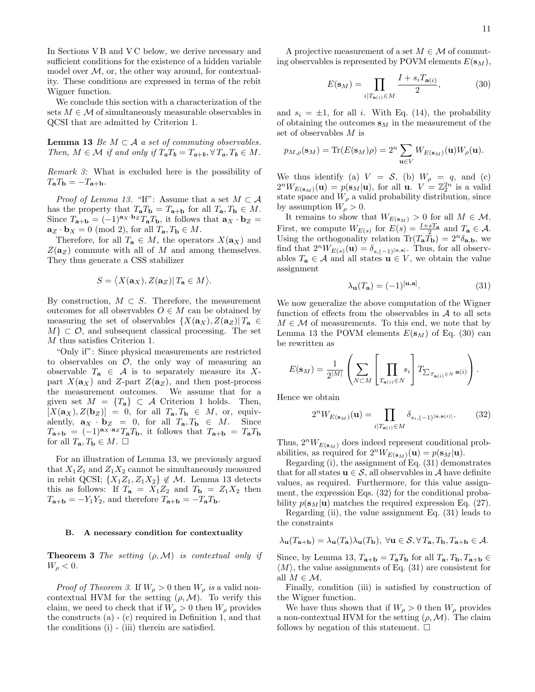In Sections VB and VC below, we derive necessary and sufficient conditions for the existence of a hidden variable model over  $M$ , or, the other way around, for contextuality. These conditions are expressed in terms of the rebit Wigner function.

We conclude this section with a characterization of the sets  $M \in \mathcal{M}$  of simultaneously measurable observables in QCSI that are admitted by Criterion 1.

**Lemma 13** Be  $M \subset \mathcal{A}$  a set of commuting observables. Then,  $M \in \mathcal{M}$  if and only if  $T_aT_b = T_{a+b}, \forall T_a, T_b \in M$ .

Remark 3: What is excluded here is the possibility of  $T_{\mathbf{a}}T_{\mathbf{b}} = -T_{\mathbf{a}+\mathbf{b}}.$ 

*Proof of Lemma 13.* "If": Assume that a set  $M \subset \mathcal{A}$ has the property that  $T_{\mathbf{a}}T_{\mathbf{b}} = T_{\mathbf{a}+\mathbf{b}}$  for all  $T_{\mathbf{a}}$ ,  $T_{\mathbf{b}} \in M$ . Since  $T_{\mathbf{a}+\mathbf{b}} = (-1)^{\mathbf{a}_X \cdot \mathbf{b}_Z} T_{\mathbf{a}} T_{\mathbf{b}}$ , it follows that  $\mathbf{a}_X \cdot \mathbf{b}_Z =$  $\mathbf{a}_Z \cdot \mathbf{b}_X = 0 \pmod{2}$ , for all  $T_{\mathbf{a}}$ ,  $T_{\mathbf{b}} \in M$ .

Therefore, for all  $T_{\mathbf{a}} \in M$ , the operators  $X(\mathbf{a}_X)$  and  $Z(\mathbf{a}_Z)$  commute with all of M and among themselves. They thus generate a CSS stabilizer

$$
S = \langle X(\mathbf{a}_X), Z(\mathbf{a}_Z) | T_\mathbf{a} \in M \rangle.
$$

By construction,  $M \subset S$ . Therefore, the measurement outcomes for all observables  $O \in M$  can be obtained by measuring the set of observables  $\{X(\mathbf{a}_X), Z(\mathbf{a}_Z)| T_{\mathbf{a}} \in$  $M$   $\subset \mathcal{O}$ , and subsequent classical processing. The set M thus satisfies Criterion 1.

"Only if": Since physical measurements are restricted to observables on  $\mathcal{O}$ , the only way of measuring an observable  $T_a \in \mathcal{A}$  is to separately measure its Xpart  $X(\mathbf{a}_X)$  and Z-part  $Z(\mathbf{a}_Z)$ , and then post-process the measurement outcomes. We assume that for a given set  $M = \{T_a\} \subset \mathcal{A}$  Criterion 1 holds. Then,  $[X(\mathbf{a}_X), Z(\mathbf{b}_Z)] = 0$ , for all  $T_\mathbf{a}, T_\mathbf{b} \in M$ , or, equivalently,  $\mathbf{a}_X \cdot \mathbf{b}_Z = 0$ , for all  $T_\mathbf{a}, T_\mathbf{b} \in M$ . Since  $T_{\mathbf{a}+\mathbf{b}} = (-1)^{\mathbf{a}_X \cdot \mathbf{a}_Z} T_{\mathbf{a}} T_{\mathbf{b}}$ , it follows that  $T_{\mathbf{a}+\mathbf{b}} = T_{\mathbf{a}} T_{\mathbf{b}}$ for all  $T_{\mathbf{a}}, T_{\mathbf{b}} \in M$ .  $\square$ 

For an illustration of Lemma 13, we previously argued that  $X_1Z_1$  and  $Z_1X_2$  cannot be simultaneously measured in rebit QCSI;  $\{X_1Z_1, Z_1X_2\} \notin \mathcal{M}$ . Lemma 13 detects this as follows: If  $T_a = X_1 Z_2$  and  $T_b = Z_1 X_2$  then  $T_{\mathbf{a}+\mathbf{b}} = -Y_1Y_2$ , and therefore  $T_{\mathbf{a}+\mathbf{b}} = -T_{\mathbf{a}}T_{\mathbf{b}}$ .

## B. A necessary condition for contextuality

**Theorem 3** The setting  $(\rho, \mathcal{M})$  is contextual only if  $W_{\rho} < 0.$ 

*Proof of Theorem 3.* If  $W_{\rho} > 0$  then  $W_{\rho}$  is a valid noncontextual HVM for the setting  $(\rho, \mathcal{M})$ . To verify this claim, we need to check that if  $W_{\rho} > 0$  then  $W_{\rho}$  provides the constructs (a) - (c) required in Definition 1, and that the conditions (i) - (iii) therein are satisfied.

A projective measurement of a set  $M \in \mathcal{M}$  of commuting observables is represented by POVM elements  $E(\mathbf{s}_M)$ ,

$$
E(\mathbf{s}_M) = \prod_{i|T_{\mathbf{a}(i)} \in M} \frac{I + s_i T_{\mathbf{a}(i)}}{2},\tag{30}
$$

and  $s_i = \pm 1$ , for all i. With Eq. (14), the probability of obtaining the outcomes  $s_M$  in the measurement of the set of observables M is

$$
p_{M,\rho}(\mathbf{s}_M) = \text{Tr}(E(\mathbf{s}_M)\rho) = 2^n \sum_{\mathbf{u} \in V} W_{E(\mathbf{s}_M)}(\mathbf{u}) W_{\rho}(\mathbf{u}).
$$

We thus identify (a)  $V = S$ , (b)  $W_{\rho} = q$ , and (c)  $2^nW_{E(s_M)}(\mathbf{u}) = p(s_M|\mathbf{u})$ , for all  $\mathbf{u}$ .  $V = \mathbb{Z}_2^{2n}$  is a valid state space and  $W_{\rho}$  a valid probability distribution, since by assumption  $W_{\rho} > 0$ .

It remains to show that  $W_{E(\mathbf{s}_M)} > 0$  for all  $M \in \mathcal{M}$ . First, we compute  $W_{E(s)}$  for  $E(s) = \frac{I + sT_a}{2}$  and  $T_a \in \mathcal{A}$ . Using the orthogonality relation  $\text{Tr}(T_{\mathbf{a}}\tilde{T}_{\mathbf{b}}) = 2^{n}\delta_{\mathbf{a},\mathbf{b}}$ , we find that  $2^nW_{E(s)}(\mathbf{u}) = \delta_{s,(-1)^{[\mathbf{u},\mathbf{a}]}}$ . Thus, for all observables  $T_a \in \mathcal{A}$  and all states  $\mathbf{u} \in V$ , we obtain the value assignment

$$
\lambda_{\mathbf{u}}(T_{\mathbf{a}}) = (-1)^{[\mathbf{u}, \mathbf{a}]}.
$$
 (31)

We now generalize the above computation of the Wigner function of effects from the observables in  $A$  to all sets  $M \in \mathcal{M}$  of measurements. To this end, we note that by Lemma 13 the POVM elements  $E(\mathbf{s}_M)$  of Eq. (30) can be rewritten as

$$
E(\mathbf{s}_M) = \frac{1}{2^{|M|}} \left( \sum_{N \subset M} \left[ \prod_{T_{\mathbf{a}(i)} \in N} s_i \right] T_{\sum_{T_{\mathbf{a}(i)} \in N} \mathbf{a}(i)} \right).
$$

Hence we obtain

$$
2^{n}W_{E(\mathbf{s}_{M})}(\mathbf{u}) = \prod_{i|T_{\mathbf{a}(i)} \in M} \delta_{s_{i}, (-1)^{[\mathbf{u}, \mathbf{a}(i)]}}.
$$
 (32)

Thus,  $2^nW_{E(s_M)}$  does indeed represent conditional probabilities, as required for  $2^nW_{E(s_M)}(\mathbf{u}) = p(s_M|\mathbf{u}).$ 

Regarding (i), the assignment of Eq. (31) demonstrates that for all states  $u \in S$ , all observables in A have definite values, as required. Furthermore, for this value assignment, the expression Eqs. (32) for the conditional probability  $p(\mathbf{s}_M|\mathbf{u})$  matches the required expression Eq. (27).

Regarding (ii), the value assignment Eq. (31) leads to the constraints

$$
\lambda_{\mathbf{u}}(T_{\mathbf{a}+\mathbf{b}})=\lambda_{\mathbf{u}}(T_{\mathbf{a}})\lambda_{\mathbf{u}}(T_{\mathbf{b}}), \ \forall \mathbf{u}\in \mathcal{S}, \forall T_{\mathbf{a}}, T_{\mathbf{b}}, T_{\mathbf{a}+\mathbf{b}}\in \mathcal{A}.
$$

Since, by Lemma 13,  $T_{\mathbf{a}+\mathbf{b}} = T_{\mathbf{a}}T_{\mathbf{b}}$  for all  $T_{\mathbf{a}}$ ,  $T_{\mathbf{b}}$ ,  $T_{\mathbf{a}+\mathbf{b}} \in$  $\langle M \rangle$ , the value assignments of Eq. (31) are consistent for all  $M \in \mathcal{M}$ .

Finally, condition (iii) is satisfied by construction of the Wigner function.

We have thus shown that if  $W_{\rho} > 0$  then  $W_{\rho}$  provides a non-contextual HVM for the setting  $(\rho, \mathcal{M})$ . The claim follows by negation of this statement.  $\square$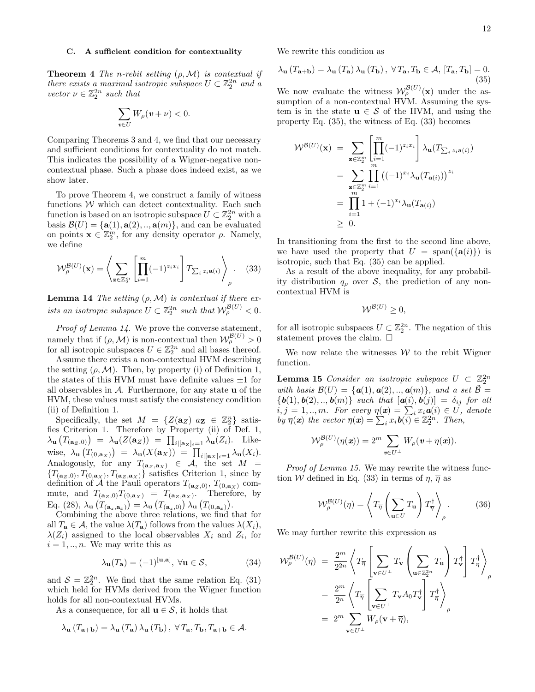## C. A sufficient condition for contextuality

**Theorem 4** The n-rebit setting  $(\rho, \mathcal{M})$  is contextual if there exists a maximal isotropic subspace  $U \subset \mathbb{Z}_2^{2n}$  and a vector  $\nu \in \mathbb{Z}_2^{2n}$  such that

$$
\sum_{\pmb{v}\in U}W_\rho(\pmb{v}+\nu)<0.
$$

Comparing Theorems 3 and 4, we find that our necessary and sufficient conditions for contextuality do not match. This indicates the possibility of a Wigner-negative noncontextual phase. Such a phase does indeed exist, as we show later.

To prove Theorem 4, we construct a family of witness functions  $W$  which can detect contextuality. Each such function is based on an isotropic subspace  $U \subset \mathbb{Z}_2^{2n}$  with a basis  $\mathcal{B}(U) = {\mathbf{a}(1), \mathbf{a}(2), \dots, \mathbf{a}(m)}$ , and can be evaluated on points  $\mathbf{x} \in \mathbb{Z}_2^m$ , for any density operator  $\rho$ . Namely, we define

$$
\mathcal{W}_{\rho}^{\mathcal{B}(U)}(\mathbf{x}) = \left\langle \sum_{\mathbf{z} \in \mathbb{Z}_2^m} \left[ \prod_{i=1}^m (-1)^{z_i x_i} \right] T_{\sum_i z_i \mathbf{a}(i)} \right\rangle_{\rho} . \tag{33}
$$

**Lemma 14** The setting  $(\rho, \mathcal{M})$  is contextual if there exists an isotropic subspace  $U \subset \mathbb{Z}_2^{2n}$  such that  $\mathcal{W}_{\rho}^{\mathcal{B}(U)} < 0$ .

Proof of Lemma 14. We prove the converse statement, namely that if  $(\rho, \mathcal{M})$  is non-contextual then  $\mathcal{W}_{\rho}^{\mathcal{B}(U)} > 0$ for all isotropic subspaces  $U \in \mathbb{Z}_2^{2n}$  and all bases thereof.

Assume there exists a non-contextual HVM describing the setting  $(\rho, \mathcal{M})$ . Then, by property (i) of Definition 1, the states of this HVM must have definite values  $\pm 1$  for all observables in  $A$ . Furthermore, for any state **u** of the HVM, these values must satisfy the consistency condition (ii) of Definition 1.

Specifically, the set  $M = \{Z(\mathbf{a}_Z) | a_{\mathbf{Z}} \in \mathbb{Z}_2^n\}$  satisfies Criterion 1. Therefore by Property (ii) of Def. 1,  $\lambda_{\mathbf{u}}(T_{(\mathbf{a}_Z,0)}) = \lambda_{\mathbf{u}}(Z(\mathbf{a}_Z)) = \prod_{i \mid [\mathbf{a}_Z]_i = 1} \lambda_{\mathbf{u}}(Z_i)$ . Likewise,  $\lambda_{\mathbf{u}}(T_{(0,\mathbf{a}_X)}) = \lambda_{\mathbf{u}}(X(\mathbf{a}_X)) = \prod_{i | [\mathbf{a}_X]_i = 1} \lambda_{\mathbf{u}}(X_i).$ Analogously, for any  $T_{(a_Z, a_X)} \in \mathcal{A}$ , the set  $M =$  ${T<sub>(**a**<sub>Z</sub>,0), T<sub>(0,**a**<sub>X</sub>), T<sub>(**a**<sub>Z</sub>,**a**<sub>X</sub>)}</sub></sub></sub>$  satisfies Criterion 1, since by definition of A the Pauli operators  $T_{(a_Z,0)}, T_{(0,a_X)}$  commute, and  $T_{(a_Z,0)}T_{(0,a_X)} = T_{(a_Z,a_X)}$ . Therefore, by Eq. (28),  $\lambda_{\mathbf{u}}(T_{(\mathbf{a}_z,\mathbf{a}_x)}) = \lambda_{\mathbf{u}}(T_{(\mathbf{a}_z,0)}) \lambda_{\mathbf{u}}(T_{(0,\mathbf{a}_x)})$ .

Combining the above three relations, we find that for all  $T_{\mathbf{a}} \in \mathcal{A}$ , the value  $\lambda(T_{\mathbf{a}})$  follows from the values  $\lambda(X_i)$ ,  $\lambda(Z_i)$  assigned to the local observables  $X_i$  and  $Z_i$ , for  $i = 1, \ldots, n$ . We may write this as

$$
\lambda_{\mathbf{u}}(T_{\mathbf{a}}) = (-1)^{[\mathbf{u}, \mathbf{a}]}, \ \forall \mathbf{u} \in \mathcal{S}, \tag{34}
$$

and  $S = \mathbb{Z}_2^{2n}$ . We find that the same relation Eq. (31) which held for HVMs derived from the Wigner function holds for all non-contextual HVMs.

As a consequence, for all  $u \in S$ , it holds that

$$
\lambda_{\mathbf{u}}(T_{\mathbf{a}+\mathbf{b}}) = \lambda_{\mathbf{u}}(T_{\mathbf{a}}) \lambda_{\mathbf{u}}(T_{\mathbf{b}}), \ \forall T_{\mathbf{a}}, T_{\mathbf{b}}, T_{\mathbf{a}+\mathbf{b}} \in \mathcal{A}.
$$

We rewrite this condition as

$$
\lambda_{\mathbf{u}}\left(T_{\mathbf{a}+\mathbf{b}}\right) = \lambda_{\mathbf{u}}\left(T_{\mathbf{a}}\right)\lambda_{\mathbf{u}}\left(T_{\mathbf{b}}\right), \ \forall T_{\mathbf{a}}, T_{\mathbf{b}} \in \mathcal{A}, \ [T_{\mathbf{a}}, T_{\mathbf{b}}] = 0. \tag{35}
$$

We now evaluate the witness  $\mathcal{W}_{\rho}^{\mathcal{B}(U)}(\mathbf{x})$  under the assumption of a non-contextual HVM. Assuming the system is in the state  $u \in S$  of the HVM, and using the property Eq. (35), the witness of Eq. (33) becomes

$$
\mathcal{W}^{\mathcal{B}(U)}(\mathbf{x}) = \sum_{\mathbf{z} \in \mathbb{Z}_2^m} \left[ \prod_{i=1}^m (-1)^{z_i x_i} \right] \lambda_{\mathbf{u}}(T_{\sum_i z_i \mathbf{a}(i)})
$$
  
\n
$$
= \sum_{\substack{\mathbf{z} \in \mathbb{Z}_2^m \\ \mathbf{z} = 1}} \prod_{i=1}^m ((-1)^{x_i} \lambda_{\mathbf{u}}(T_{\mathbf{a}(i)}))^{z_i}
$$
  
\n
$$
= \prod_{i=1}^m 1 + (-1)^{x_i} \lambda_{\mathbf{u}}(T_{\mathbf{a}(i)})
$$
  
\n
$$
\geq 0.
$$

In transitioning from the first to the second line above, we have used the property that  $U = \text{span}(\{\mathbf{a}(i)\})$  is isotropic, such that Eq. (35) can be applied.

As a result of the above inequality, for any probability distribution  $q_\rho$  over S, the prediction of any noncontextual HVM is

$$
\mathcal{W}^{\mathcal{B}(U)} \geq 0,
$$

for all isotropic subspaces  $U \subset \mathbb{Z}_2^{2n}$ . The negation of this statement proves the claim.  $\square$ 

We now relate the witnesses  $W$  to the rebit Wigner function.

**Lemma 15** Consider an isotropic subspace  $U \subset \mathbb{Z}_2^{2n}$ with basis  $\mathcal{B}(U) = {\mathbf{a}(1), \mathbf{a}(2), \dots, \mathbf{a}(m)}$ , and a set  $\tilde{\mathcal{B}} =$  ${\bf \{b(1), b(2), .., b(m)}\}$  such that  ${\bf \left[a(i), b(j)\right] = \delta_{ij}}$  for all  $i, j = 1, ..., m$ . For every  $\eta(x) = \sum_i x_i \mathbf{a}(i) \in U$ , denote by  $\overline{\eta}(\boldsymbol{x})$  the vector  $\overline{\eta}(\boldsymbol{x}) = \sum_{i} x_i \boldsymbol{b}(i) \in \mathbb{Z}_2^{2n}$ . Then,

$$
\mathcal{W}^{\mathcal{B}(U)}_{\rho}(\eta(\textbf{\textit{x}})) = 2^m \sum_{\textbf{\textit{v}} \in U^{\perp}} W_{\rho}(\textbf{\textit{v}} + \overline{\eta}(\textbf{\textit{x}})).
$$

Proof of Lemma 15. We may rewrite the witness function W defined in Eq. (33) in terms of  $\eta$ ,  $\overline{\eta}$  as

$$
\mathcal{W}_{\rho}^{\mathcal{B}(U)}(\eta) = \left\langle T_{\overline{\eta}} \left( \sum_{\mathbf{u} \in U} T_{\mathbf{u}} \right) T_{\overline{\eta}}^{\dagger} \right\rangle_{\rho} . \tag{36}
$$

We may further rewrite this expression as

$$
\mathcal{W}_{\rho}^{\mathcal{B}(U)}(\eta) = \frac{2^m}{2^{2n}} \left\langle T_{\overline{\eta}} \left[ \sum_{\mathbf{v} \in U^{\perp}} T_{\mathbf{v}} \left( \sum_{\mathbf{u} \in \mathbb{Z}_2^{2n}} T_{\mathbf{u}} \right) T_{\mathbf{v}}^{\dagger} \right] T_{\overline{\eta}}^{\dagger} \right\rangle_{\rho}
$$
  
= 
$$
\frac{2^m}{2^n} \left\langle T_{\overline{\eta}} \left[ \sum_{\mathbf{v} \in U^{\perp}} T_{\mathbf{v}} A_0 T_{\mathbf{v}}^{\dagger} \right] T_{\overline{\eta}}^{\dagger} \right\rangle_{\rho}
$$
  
= 
$$
2^m \sum_{\mathbf{v} \in U^{\perp}} W_{\rho}(\mathbf{v} + \overline{\eta}),
$$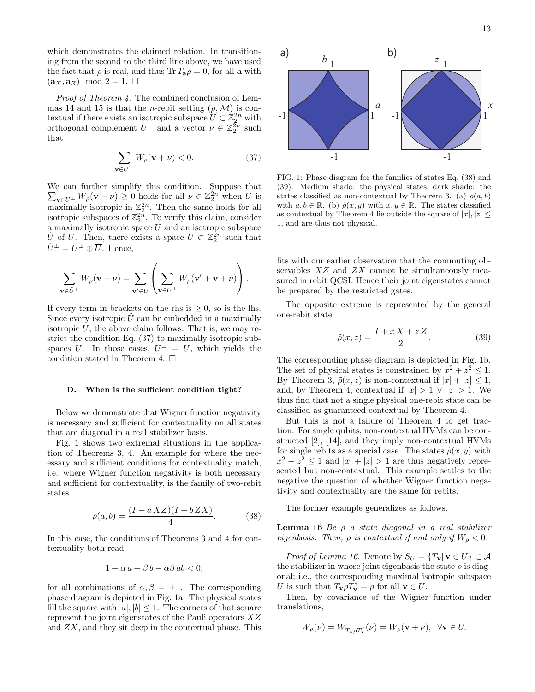which demonstrates the claimed relation. In transitioning from the second to the third line above, we have used the fact that  $\rho$  is real, and thus Tr  $T_a \rho = 0$ , for all a with  $(\mathbf{a}_X, \mathbf{a}_Z) \mod 2 = 1. \Box$ 

Proof of Theorem 4. The combined conclusion of Lemmas 14 and 15 is that the *n*-rebit setting  $(\rho, \mathcal{M})$  is contextual if there exists an isotropic subspace  $U \subset \mathbb{Z}_2^{2n}$  with orthogonal complement  $U^{\perp}$  and a vector  $\nu \in \mathbb{Z}_2^{\tilde{2}n}$  such that

$$
\sum_{\mathbf{v}\in U^{\perp}} W_{\rho}(\mathbf{v}+\nu) < 0. \tag{37}
$$

We can further simplify this condition. Suppose that  $\sum_{\mathbf{v}\in U^{\perp}}W_{\rho}(\mathbf{v}+\nu)\geq 0$  holds for all  $\nu\in\mathbb{Z}_{2}^{2n}$  when U is maximally isotropic in  $\mathbb{Z}_2^{2n}$ . Then the same holds for all isotropic subspaces of  $\mathbb{Z}_2^{2\tilde{n}}$ . To verify this claim, consider a maximally isotropic space  $U$  and an isotropic subspace  $\tilde{U}$  of U. Then, there exists a space  $\overline{U} \subset \mathbb{Z}_2^{\tilde{2}n}$  such that  $\tilde{U}^{\perp} = U^{\perp} \oplus \overline{U}$ . Hence,

$$
\sum_{\mathbf{v}\in\tilde{U}^{\perp}}W_{\rho}(\mathbf{v}+\nu)=\sum_{\mathbf{v}'\in\overline{U}}\left(\sum_{\mathbf{v}\in U^{\perp}}W_{\rho}(\mathbf{v}'+\mathbf{v}+\nu)\right).
$$

If every term in brackets on the rhs is  $> 0$ , so is the lhs. Since every isotropic  $\hat{U}$  can be embedded in a maximally isotropic  $U$ , the above claim follows. That is, we may restrict the condition Eq. (37) to maximally isotropic subspaces U. In those cases,  $U^{\perp} = U$ , which yields the condition stated in Theorem 4.  $\Box$ 

#### D. When is the sufficient condition tight?

Below we demonstrate that Wigner function negativity is necessary and sufficient for contextuality on all states that are diagonal in a real stabilizer basis.

Fig. 1 shows two extremal situations in the application of Theorems 3, 4. An example for where the necessary and sufficient conditions for contextuality match, i.e. where Wigner function negativity is both necessary and sufficient for contextuality, is the family of two-rebit states

$$
\rho(a, b) = \frac{(I + a XZ)(I + b ZX)}{4}.
$$
 (38)

In this case, the conditions of Theorems 3 and 4 for contextuality both read

$$
1 + \alpha a + \beta b - \alpha \beta ab < 0,
$$

for all combinations of  $\alpha, \beta = \pm 1$ . The corresponding phase diagram is depicted in Fig. 1a. The physical states fill the square with  $|a|, |b| \leq 1$ . The corners of that square represent the joint eigenstates of the Pauli operators XZ and  $ZX$ , and they sit deep in the contextual phase. This



FIG. 1: Phase diagram for the families of states Eq. (38) and (39). Medium shade: the physical states, dark shade: the states classified as non-contextual by Theorem 3. (a)  $\rho(a, b)$ with  $a, b \in \mathbb{R}$ . (b)  $\tilde{\rho}(x, y)$  with  $x, y \in \mathbb{R}$ . The states classified as contextual by Theorem 4 lie outside the square of  $|x|, |z|$ 1, and are thus not physical.

fits with our earlier observation that the commuting observables  $XZ$  and  $ZX$  cannot be simultaneously measured in rebit QCSI. Hence their joint eigenstates cannot be prepared by the restricted gates.

The opposite extreme is represented by the general one-rebit state

$$
\tilde{\rho}(x,z) = \frac{I + x X + z Z}{2}.
$$
\n(39)

The corresponding phase diagram is depicted in Fig. 1b. The set of physical states is constrained by  $x^2 + z^2 \leq 1$ . By Theorem 3,  $\tilde{\rho}(x, z)$  is non-contextual if  $|x| + |z| \leq 1$ , and, by Theorem 4, contextual if  $|x| > 1 \vee |z| > 1$ . We thus find that not a single physical one-rebit state can be classified as guaranteed contextual by Theorem 4.

But this is not a failure of Theorem 4 to get traction. For single qubits, non-contextual HVMs can be constructed [2], [14], and they imply non-contextual HVMs for single rebits as a special case. The states  $\tilde{\rho}(x, y)$  with  $x^2 + z^2 \leq 1$  and  $|x| + |z| > 1$  are thus negatively represented but non-contextual. This example settles to the negative the question of whether Wigner function negativity and contextuality are the same for rebits.

The former example generalizes as follows.

Lemma 16 Be  $\rho$  a state diagonal in a real stabilizer eigenbasis. Then,  $\rho$  is contextual if and only if  $W_{\rho} < 0$ .

*Proof of Lemma 16.* Denote by  $S_U = \{T_v | v \in U\} \subset \mathcal{A}$ the stabilizer in whose joint eigenbasis the state  $\rho$  is diagonal; i.e., the corresponding maximal isotropic subspace U is such that  $T_{\mathbf{v}} \rho T_{\mathbf{v}}^{\dagger} = \rho$  for all  $\mathbf{v} \in U$ .

Then, by covariance of the Wigner function under translations,

$$
W_{\rho}(\nu) = W_{T_{\mathbf{v}}\rho T_{\mathbf{v}}^{\dagger}}(\nu) = W_{\rho}(\mathbf{v} + \nu), \ \ \forall \mathbf{v} \in U.
$$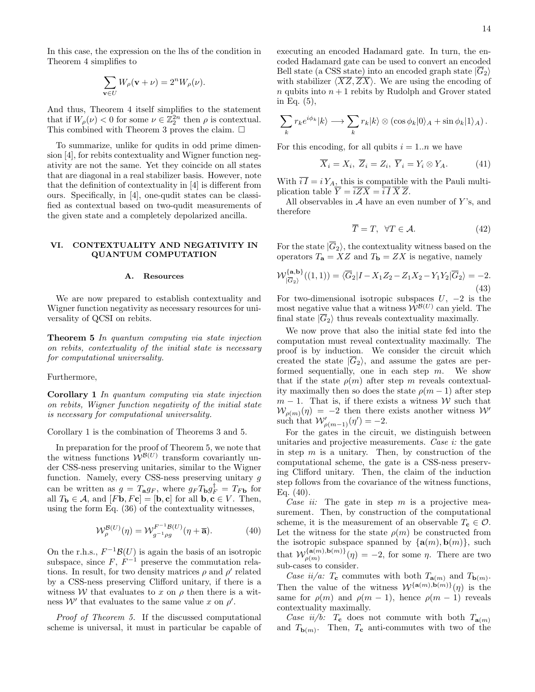In this case, the expression on the lhs of the condition in Theorem 4 simplifies to

$$
\sum_{\mathbf{v}\in U}W_{\rho}(\mathbf{v}+\nu)=2^{n}W_{\rho}(\nu).
$$

And thus, Theorem 4 itself simplifies to the statement that if  $W_{\rho}(\nu) < 0$  for some  $\nu \in \mathbb{Z}_2^{2n}$  then  $\rho$  is contextual. This combined with Theorem 3 proves the claim.  $\Box$ 

To summarize, unlike for qudits in odd prime dimension [4], for rebits contextuality and Wigner function negativity are not the same. Yet they coincide on all states that are diagonal in a real stabilizer basis. However, note that the definition of contextuality in [4] is different from ours. Specifically, in [4], one-qudit states can be classified as contextual based on two-qudit measurements of the given state and a completely depolarized ancilla.

## VI. CONTEXTUALITY AND NEGATIVITY IN QUANTUM COMPUTATION

#### A. Resources

We are now prepared to establish contextuality and Wigner function negativity as necessary resources for universality of QCSI on rebits.

Theorem 5 In quantum computing via state injection on rebits, contextuality of the initial state is necessary for computational universality.

## Furthermore,

Corollary 1 In quantum computing via state injection on rebits, Wigner function negativity of the initial state is necessary for computational universality.

Corollary 1 is the combination of Theorems 3 and 5.

In preparation for the proof of Theorem 5, we note that the witness functions  $W^{\mathcal{B}(U)}$  transform covariantly under CSS-ness preserving unitaries, similar to the Wigner function. Namely, every CSS-ness preserving unitary g can be written as  $g = T_{\mathbf{a}} g_F$ , where  $g_F T_{\mathbf{b}} g_F^{\dagger} = T_{F\mathbf{b}}$  for all  $T_{\mathbf{b}} \in \mathcal{A}$ , and  $[F\mathbf{b}, F\mathbf{c}] = [\mathbf{b}, \mathbf{c}]$  for all  $\mathbf{b}, \mathbf{c} \in V$ . Then, using the form Eq. (36) of the contextuality witnesses,

$$
\mathcal{W}_{\rho}^{\mathcal{B}(U)}(\eta) = \mathcal{W}_{g^{-1}\rho g}^{F^{-1}\mathcal{B}(U)}(\eta + \overline{\mathbf{a}}). \tag{40}
$$

On the r.h.s.,  $F^{-1}\mathcal{B}(U)$  is again the basis of an isotropic subspace, since  $F, F^{-1}$  preserve the commutation relations. In result, for two density matrices  $\rho$  and  $\rho'$  related by a CSS-ness preserving Clifford unitary, if there is a witness W that evaluates to x on  $\rho$  then there is a witness W' that evaluates to the same value x on  $\rho'$ .

Proof of Theorem 5. If the discussed computational scheme is universal, it must in particular be capable of executing an encoded Hadamard gate. In turn, the encoded Hadamard gate can be used to convert an encoded Bell state (a CSS state) into an encoded graph state  $|\overline{G}_2\rangle$ with stabilizer  $\langle \overline{XZ},\overline{ZX}\rangle$ . We are using the encoding of n qubits into  $n + 1$  rebits by Rudolph and Grover stated in Eq. (5),

$$
\sum_{k} r_{k} e^{i\phi_{k}} |k\rangle \longrightarrow \sum_{k} r_{k} |k\rangle \otimes (\cos \phi_{k} |0\rangle_{A} + \sin \phi_{k} |1\rangle_{A}).
$$

For this encoding, for all qubits  $i = 1..n$  we have

$$
\overline{X}_i = X_i, \ \overline{Z}_i = Z_i, \ \overline{Y}_i = Y_i \otimes Y_A. \tag{41}
$$

With  $iI = iY_A$ , this is compatible with the Pauli multiplication table  $\overline{Y} = \overline{iZX} = \overline{iI}\,\overline{X}\,\overline{Z}.$ 

All observables in  $A$  have an even number of Y's, and therefore

$$
\overline{T} = T, \quad \forall T \in \mathcal{A}.\tag{42}
$$

For the state  $|\overline{G}_2\rangle$ , the contextuality witness based on the operators  $T_{\mathbf{a}} = XZ$  and  $T_{\mathbf{b}} = ZX$  is negative, namely

$$
\mathcal{W}_{|\overline{G}_2\rangle}^{\{\mathbf{a},\mathbf{b}\}}((1,1)) = \langle \overline{G}_2 | I - X_1 Z_2 - Z_1 X_2 - Y_1 Y_2 | \overline{G}_2 \rangle = -2. \tag{43}
$$

For two-dimensional isotropic subspaces  $U, -2$  is the most negative value that a witness  $\mathcal{W}^{\mathcal{B}(U)}$  can yield. The final state  $|\overline{G}_2\rangle$  thus reveals contextuality maximally.

We now prove that also the initial state fed into the computation must reveal contextuality maximally. The proof is by induction. We consider the circuit which created the state  $|\overline{G}_2\rangle$ , and assume the gates are performed sequentially, one in each step  $m$ . We show that if the state  $\rho(m)$  after step m reveals contextuality maximally then so does the state  $\rho(m-1)$  after step  $m-1$ . That is, if there exists a witness W such that  $W_{\rho(m)}(\eta) = -2$  then there exists another witness  $\mathcal{W}'$ such that  $\mathcal{W}'_{\rho(m-1)}(\eta') = -2.$ 

For the gates in the circuit, we distinguish between unitaries and projective measurements. Case i: the gate in step  $m$  is a unitary. Then, by construction of the computational scheme, the gate is a CSS-ness preserving Clifford unitary. Then, the claim of the induction step follows from the covariance of the witness functions, Eq. (40).

Case ii: The gate in step  $m$  is a projective measurement. Then, by construction of the computational scheme, it is the measurement of an observable  $T_c \in \mathcal{O}$ . Let the witness for the state  $\rho(m)$  be constructed from the isotropic subspace spanned by  $\{a(m), b(m)\}\$ , such that  $\mathcal{W}_{q(m)}^{\{\mathbf{a}(m),\mathbf{b}(m)\}}$  $\rho_{\rho(m)}^{(\mathbf{a}(m),\mathbf{b}(m))}(\eta) = -2$ , for some  $\eta$ . There are two sub-cases to consider.

Case ii/a:  $T_c$  commutes with both  $T_{a(m)}$  and  $T_{b(m)}$ . Then the value of the witness  $W^{\{\mathbf{a}(m),\mathbf{b}(m)\}}(\eta)$  is the same for  $\rho(m)$  and  $\rho(m-1)$ , hence  $\rho(m-1)$  reveals contextuality maximally.

Case  $ii/b$ :  $T_c$  does not commute with both  $T_{a(m)}$ and  $T_{\mathbf{b}(m)}$ . Then,  $T_{\mathbf{c}}$  anti-commutes with two of the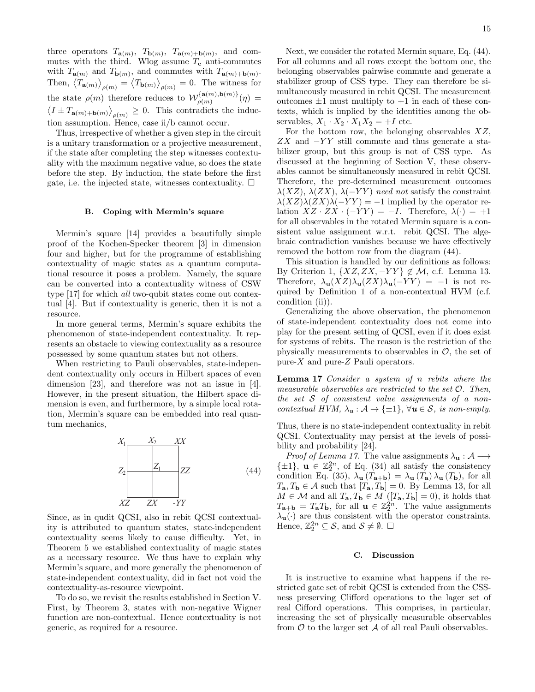three operators  $T_{\mathbf{a}(m)}$ ,  $T_{\mathbf{b}(m)}$ ,  $T_{\mathbf{a}(m)+\mathbf{b}(m)}$ , and commutes with the third. Wlog assume  $T_c$  anti-commutes with  $T_{\mathbf{a}(m)}$  and  $T_{\mathbf{b}(m)}$ , and commutes with  $T_{\mathbf{a}(m)+\mathbf{b}(m)}$ . Then,  $\langle T_{\mathbf{a}(m)} \rangle_{\rho(m)} = \langle T_{\mathbf{b}(m)} \rangle_{\rho(m)} = 0$ . The witness for the state  $\rho(m)$  therefore reduces to  $\mathcal{W}_{\rho(m)}^{\{\mathbf{a}(m),\mathbf{b}(m)\}}$  $\rho(m)$ ,  $\rho(m)$   $\eta$  =  $\langle I \pm T_{\mathbf{a}(m)+\mathbf{b}(m)} \rangle_{\rho(m)} \geq 0$ . This contradicts the induction assumption. Hence, case ii/b cannot occur.

Thus, irrespective of whether a given step in the circuit is a unitary transformation or a projective measurement, if the state after completing the step witnesses contextuality with the maximum negative value, so does the state before the step. By induction, the state before the first gate, i.e. the injected state, witnesses contextuality.  $\Box$ 

## B. Coping with Mermin's square

Mermin's square [14] provides a beautifully simple proof of the Kochen-Specker theorem [3] in dimension four and higher, but for the programme of establishing contextuality of magic states as a quantum computational resource it poses a problem. Namely, the square can be converted into a contextuality witness of CSW type [17] for which all two-qubit states come out contextual [4]. But if contextuality is generic, then it is not a resource.

In more general terms, Mermin's square exhibits the phenomenon of state-independent contextuality. It represents an obstacle to viewing contextuality as a resource possessed by some quantum states but not others.

When restricting to Pauli observables, state-independent contextuality only occurs in Hilbert spaces of even dimension [23], and therefore was not an issue in [4]. However, in the present situation, the Hilbert space dimension is even, and furthermore, by a simple local rotation, Mermin's square can be embedded into real quantum mechanics,



Since, as in qudit QCSI, also in rebit QCSI contextuality is attributed to quantum states, state-independent contextuality seems likely to cause difficulty. Yet, in Theorem 5 we established contextuality of magic states as a necessary resource. We thus have to explain why Mermin's square, and more generally the phenomenon of state-independent contextuality, did in fact not void the contextuality-as-resource viewpoint.

To do so, we revisit the results established in Section V. First, by Theorem 3, states with non-negative Wigner function are non-contextual. Hence contextuality is not generic, as required for a resource.

Next, we consider the rotated Mermin square, Eq. (44). For all columns and all rows except the bottom one, the belonging observables pairwise commute and generate a stabilizer group of CSS type. They can therefore be simultaneously measured in rebit QCSI. The measurement outcomes  $\pm 1$  must multiply to  $+1$  in each of these contexts, which is implied by the identities among the observables,  $X_1 \cdot X_2 \cdot X_1 X_2 = +I$  etc.

For the bottom row, the belonging observables  $XZ$ ,  $ZX$  and  $-YY$  still commute and thus generate a stabilizer group, but this group is not of CSS type. As discussed at the beginning of Section V, these observables cannot be simultaneously measured in rebit QCSI. Therefore, the pre-determined measurement outcomes  $\lambda(XZ)$ ,  $\lambda(ZX)$ ,  $\lambda(-YY)$  need not satisfy the constraint  $\lambda(XZ)\lambda(ZX)\lambda(-YY) = -1$  implied by the operator relation  $XZ \cdot ZX \cdot (-YY) = -I$ . Therefore,  $\lambda(\cdot) = +1$ for all observables in the rotated Mermin square is a consistent value assignment w.r.t. rebit QCSI. The algebraic contradiction vanishes because we have effectively removed the bottom row from the diagram (44).

This situation is handled by our definitions as follows: By Criterion 1,  $\{XZ, ZX, -YY\} \notin \mathcal{M}$ , c.f. Lemma 13. Therefore,  $\lambda_{\mathbf{u}}(XZ)\lambda_{\mathbf{u}}(ZX)\lambda_{\mathbf{u}}(-YY) = -1$  is not required by Definition 1 of a non-contextual HVM (c.f. condition (ii)).

Generalizing the above observation, the phenomenon of state-independent contextuality does not come into play for the present setting of QCSI, even if it does exist for systems of rebits. The reason is the restriction of the physically measurements to observables in  $\mathcal{O}$ , the set of pure- $X$  and pure- $Z$  Pauli operators.

Lemma 17 Consider a system of n rebits where the measurable observables are restricted to the set  $\mathcal{O}$ . Then, the set  $S$  of consistent value assignments of a noncontextual HVM,  $\lambda_{\mathbf{u}} : \mathcal{A} \to \{\pm 1\}, \forall \mathbf{u} \in \mathcal{S}, \text{ is non-empty.}$ 

Thus, there is no state-independent contextuality in rebit QCSI. Contextuality may persist at the levels of possibility and probability [24].

*Proof of Lemma 17.* The value assignments  $\lambda_{\mathbf{u}} : \mathcal{A} \longrightarrow$  $\{\pm 1\}$ ,  $\mathbf{u} \in \mathbb{Z}_2^{2n}$ , of Eq. (34) all satisfy the consistency condition Eq. (35),  $\lambda_{\mathbf{u}}(T_{\mathbf{a}+\mathbf{b}}) = \lambda_{\mathbf{u}}(T_{\mathbf{a}}) \lambda_{\mathbf{u}}(T_{\mathbf{b}})$ , for all  $T_{\mathbf{a}}, T_{\mathbf{b}} \in \mathcal{A}$  such that  $[T_{\mathbf{a}}, T_{\mathbf{b}}] = 0$ . By Lemma 13, for all  $M \in \mathcal{M}$  and all  $T_{\mathbf{a}}, T_{\mathbf{b}} \in M$  ([ $T_{\mathbf{a}}, T_{\mathbf{b}}$ ] = 0), it holds that  $T_{\mathbf{a}+\mathbf{b}} = T_{\mathbf{a}}T_{\mathbf{b}}$ , for all  $\mathbf{u} \in \mathbb{Z}_2^{\hat{2}n}$ . The value assignments  $\lambda_{\mathbf{u}}(\cdot)$  are thus consistent with the operator constraints. Hence,  $\mathbb{Z}_2^{2n} \subseteq \mathcal{S}$ , and  $\mathcal{S} \neq \emptyset$ .  $\square$ 

#### C. Discussion

It is instructive to examine what happens if the restricted gate set of rebit QCSI is extended from the CSSness preserving Clifford operations to the lager set of real Cifford operations. This comprises, in particular, increasing the set of physically measurable observables from  $\mathcal O$  to the larger set  $\mathcal A$  of all real Pauli observables.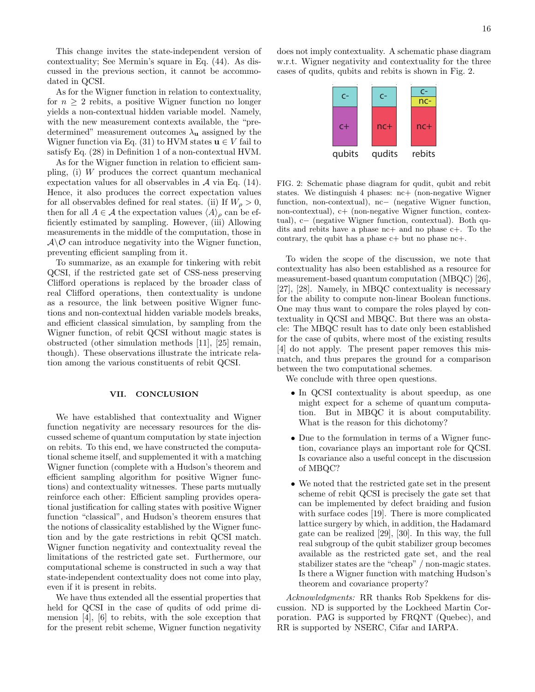This change invites the state-independent version of contextuality; See Mermin's square in Eq. (44). As discussed in the previous section, it cannot be accommodated in QCSI.

As for the Wigner function in relation to contextuality, for  $n \geq 2$  rebits, a positive Wigner function no longer yields a non-contextual hidden variable model. Namely, with the new measurement contexts available, the "predetermined" measurement outcomes  $\lambda_{\mathbf{u}}$  assigned by the Wigner function via Eq. (31) to HVM states  $\mathbf{u} \in V$  fail to satisfy Eq. (28) in Definition 1 of a non-contextual HVM.

As for the Wigner function in relation to efficient sampling, (i) W produces the correct quantum mechanical expectation values for all observables in  $A$  via Eq. (14). Hence, it also produces the correct expectation values for all observables defined for real states. (ii) If  $W_{\rho} > 0$ , then for all  $A \in \mathcal{A}$  the expectation values  $\langle A \rangle_{\rho}$  can be efficiently estimated by sampling. However, (iii) Allowing measurements in the middle of the computation, those in  $\mathcal{A}\backslash\mathcal{O}$  can introduce negativity into the Wigner function, preventing efficient sampling from it.

To summarize, as an example for tinkering with rebit QCSI, if the restricted gate set of CSS-ness preserving Clifford operations is replaced by the broader class of real Clifford operations, then contextuality is undone as a resource, the link between positive Wigner functions and non-contextual hidden variable models breaks, and efficient classical simulation, by sampling from the Wigner function, of rebit QCSI without magic states is obstructed (other simulation methods [11], [25] remain, though). These observations illustrate the intricate relation among the various constituents of rebit QCSI.

## VII. CONCLUSION

We have established that contextuality and Wigner function negativity are necessary resources for the discussed scheme of quantum computation by state injection on rebits. To this end, we have constructed the computational scheme itself, and supplemented it with a matching Wigner function (complete with a Hudson's theorem and efficient sampling algorithm for positive Wigner functions) and contextuality witnesses. These parts mutually reinforce each other: Efficient sampling provides operational justification for calling states with positive Wigner function "classical", and Hudson's theorem ensures that the notions of classicality established by the Wigner function and by the gate restrictions in rebit QCSI match. Wigner function negativity and contextuality reveal the limitations of the restricted gate set. Furthermore, our computational scheme is constructed in such a way that state-independent contextuality does not come into play, even if it is present in rebits.

We have thus extended all the essential properties that held for QCSI in the case of qudits of odd prime dimension [4], [6] to rebits, with the sole exception that for the present rebit scheme, Wigner function negativity does not imply contextuality. A schematic phase diagram w.r.t. Wigner negativity and contextuality for the three cases of qudits, qubits and rebits is shown in Fig. 2.



FIG. 2: Schematic phase diagram for qudit, qubit and rebit states. We distinguish 4 phases: nc+ (non-negative Wigner function, non-contextual), nc− (negative Wigner function, non-contextual), c+ (non-negative Wigner function, contextual), c− (negative Wigner function, contextual). Both qudits and rebits have a phase nc+ and no phase c+. To the contrary, the qubit has a phase  $c+$  but no phase  $nc+.$ 

To widen the scope of the discussion, we note that contextuality has also been established as a resource for measurement-based quantum computation (MBQC) [26], [27], [28]. Namely, in MBQC contextuality is necessary for the ability to compute non-linear Boolean functions. One may thus want to compare the roles played by contextuality in QCSI and MBQC. But there was an obstacle: The MBQC result has to date only been established for the case of qubits, where most of the existing results [4] do not apply. The present paper removes this mismatch, and thus prepares the ground for a comparison between the two computational schemes.

We conclude with three open questions.

- In QCSI contextuality is about speedup, as one might expect for a scheme of quantum computation. But in MBQC it is about computability. What is the reason for this dichotomy?
- Due to the formulation in terms of a Wigner function, covariance plays an important role for QCSI. Is covariance also a useful concept in the discussion of MBQC?
- We noted that the restricted gate set in the present scheme of rebit QCSI is precisely the gate set that can be implemented by defect braiding and fusion with surface codes [19]. There is more complicated lattice surgery by which, in addition, the Hadamard gate can be realized [29], [30]. In this way, the full real subgroup of the qubit stabilizer group becomes available as the restricted gate set, and the real stabilizer states are the "cheap" / non-magic states. Is there a Wigner function with matching Hudson's theorem and covariance property?

Acknowledgments: RR thanks Rob Spekkens for discussion. ND is supported by the Lockheed Martin Corporation. PAG is supported by FRQNT (Quebec), and RR is supported by NSERC, Cifar and IARPA.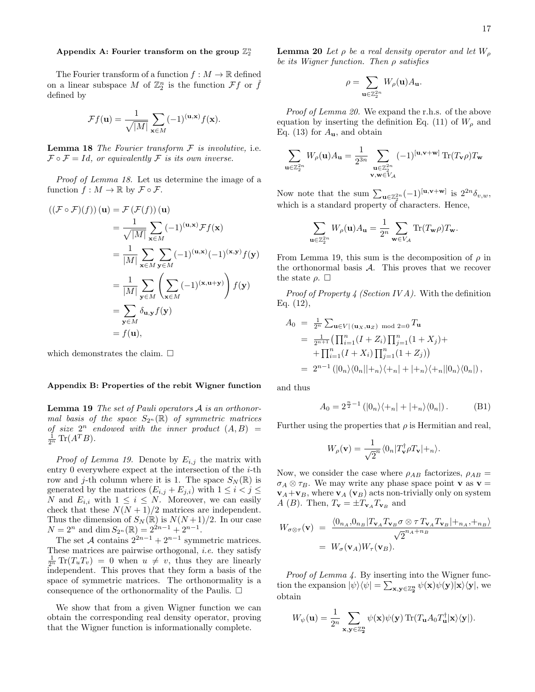# Appendix A: Fourier transform on the group  $\mathbb{Z}_2^n$

The Fourier transform of a function  $f : M \to \mathbb{R}$  defined on a linear subspace M of  $\mathbb{Z}_2^n$  is the function  $\mathcal{F}f$  or  $\hat{f}$ defined by

$$
\mathcal{F}f(\mathbf{u}) = \frac{1}{\sqrt{|M|}} \sum_{\mathbf{x} \in M} (-1)^{(\mathbf{u}, \mathbf{x})} f(\mathbf{x}).
$$

**Lemma 18** The Fourier transform  $F$  is involutive, i.e.  $\mathcal{F} \circ \mathcal{F} = Id$ , or equivalently  $\mathcal{F}$  is its own inverse.

Proof of Lemma 18. Let us determine the image of a function  $f : M \to \mathbb{R}$  by  $\mathcal{F} \circ \mathcal{F}$ .

$$
\begin{aligned} \left( (\mathcal{F} \circ \mathcal{F})(f) \right) (\mathbf{u}) &= \mathcal{F} \left( \mathcal{F}(f) \right) (\mathbf{u}) \\ &= \frac{1}{\sqrt{|M|}} \sum_{\mathbf{x} \in M} (-1)^{(\mathbf{u}, \mathbf{x})} \mathcal{F}f(\mathbf{x}) \\ &= \frac{1}{|M|} \sum_{\mathbf{x} \in M} \sum_{\mathbf{y} \in M} (-1)^{(\mathbf{u}, \mathbf{x})} (-1)^{(\mathbf{x}, \mathbf{y})} f(\mathbf{y}) \\ &= \frac{1}{|M|} \sum_{\mathbf{y} \in M} \left( \sum_{\mathbf{x} \in M} (-1)^{(\mathbf{x}, \mathbf{u} + \mathbf{y})} \right) f(\mathbf{y}) \\ &= \sum_{\mathbf{y} \in M} \delta_{\mathbf{u}, \mathbf{y}} f(\mathbf{y}) \\ &= f(\mathbf{u}), \end{aligned}
$$

which demonstrates the claim.  $\square$ 

### Appendix B: Properties of the rebit Wigner function

**Lemma 19** The set of Pauli operators  $A$  is an orthonormal basis of the space  $S_{2^n}(\mathbb{R})$  of symmetric matrices of size  $2^n$  endowed with the inner product  $(A, B)$  =  $\frac{1}{2^n} \text{Tr}(A^T B).$ 

*Proof of Lemma 19.* Denote by  $E_{i,j}$  the matrix with entry 0 everywhere expect at the intersection of the  $i$ -th row and j-th column where it is 1. The space  $S_N(\mathbb{R})$  is generated by the matrices  $(E_{i,j} + E_{j,i})$  with  $1 \leq i < j \leq$ N and  $E_{i,i}$  with  $1 \leq i \leq N$ . Moreover, we can easily check that these  $N(N + 1)/2$  matrices are independent. Thus the dimension of  $S_N(\mathbb{R})$  is  $N(N+1)/2$ . In our case  $N = 2^n$  and dim  $S_{2^n}(\mathbb{R}) = 2^{2n-1} + 2^{n-1}$ .

The set A contains  $2^{2n-1} + 2^{n-1}$  symmetric matrices. These matrices are pairwise orthogonal, i.e. they satisfy  $\frac{1}{2^n} \text{Tr}(T_u T_v) = 0$  when  $u \neq v$ , thus they are linearly independent. This proves that they form a basis of the space of symmetric matrices. The orthonormality is a consequence of the orthonormality of the Paulis.  $\Box$ 

We show that from a given Wigner function we can obtain the corresponding real density operator, proving that the Wigner function is informationally complete.

**Lemma 20** Let  $\rho$  be a real density operator and let  $W_{\rho}$ be its Wigner function. Then  $\rho$  satisfies

$$
\rho=\sum_{{\bf u}\in\mathbb{Z}_2^{2n}}W_\rho({\bf u})A_{\bf u}.
$$

Proof of Lemma 20. We expand the r.h.s. of the above equation by inserting the definition Eq. (11) of  $W<sub>o</sub>$  and Eq. (13) for  $A_{\mathbf{u}}$ , and obtain

$$
\sum_{\mathbf{u}\in\mathbb{Z}_2^{2n}}W_\rho(\mathbf{u})A_\mathbf{u}=\frac{1}{2^{3n}}\sum_{\substack{\mathbf{u}\in\mathbb{Z}_2^{2n}\\ \mathbf{v},\mathbf{w}\in V_\mathcal{A}}}(-1)^{[\mathbf{u},\mathbf{v}+\mathbf{w}]} \operatorname{Tr}(T_\mathbf{v}\rho)T_\mathbf{w}
$$

Now note that the sum  $\sum_{\mathbf{u}\in\mathbb{Z}_2^{2n}}(-1)^{[\mathbf{u},\mathbf{v}+\mathbf{w}]}$  is  $2^{2n}\delta_{v,w}$ , which is a standard property of characters. Hence,

$$
\sum_{\mathbf{u}\in\mathbb{Z}_2^{2n}} W_{\rho}(\mathbf{u})A_{\mathbf{u}} = \frac{1}{2^n} \sum_{\mathbf{w}\in V_{\mathcal{A}}} \text{Tr}(T_{\mathbf{w}}\rho)T_{\mathbf{w}}.
$$

From Lemma 19, this sum is the decomposition of  $\rho$  in the orthonormal basis  $A$ . This proves that we recover the state  $\rho$ .  $\Box$ 

*Proof of Property 4 (Section IVA)*. With the definition Eq. (12),

$$
A_0 = \frac{1}{2^n} \sum_{\mathbf{u} \in V | (\mathbf{u}_X, \mathbf{u}_Z) \mod 2 = 0} T_{\mathbf{u}}
$$
  
= 
$$
\frac{1}{2^{n+1}} \Big( \prod_{i=1}^n (I + Z_i) \prod_{j=1}^n (1 + X_j) +
$$

$$
+ \prod_{i=1}^n (I + X_i) \prod_{j=1}^n (1 + Z_j) \Big)
$$
  
= 
$$
2^{n-1} (|0_n\rangle\langle 0_n||+_n\rangle\langle +_n| + |+_n\rangle\langle +_n||0_n\rangle\langle 0_n|),
$$

and thus

$$
A_0 = 2^{\frac{n}{2}-1} (|0_n\rangle\langle +_n| + |+_n\rangle\langle 0_n|).
$$
 (B1)

Further using the properties that  $\rho$  is Hermitian and real,

$$
W_{\rho}(\mathbf{v}) = \frac{1}{\sqrt{2}n} \langle 0_n | T_{\mathbf{v}}^{\dagger} \rho T_{\mathbf{v}} | +_n \rangle.
$$

Now, we consider the case where  $\rho_{AB}$  factorizes,  $\rho_{AB}$  =  $\sigma_A \otimes \tau_B$ . We may write any phase space point **v** as **v** =  $v_A + v_B$ , where  $v_A(v_B)$  acts non-trivially only on system A (B). Then,  $T_{\mathbf{v}} = \pm T_{\mathbf{v}_A} T_{\mathbf{v}_B}$  and

$$
W_{\sigma \otimes \tau}(\mathbf{v}) = \frac{\langle 0_{n_A}, 0_{n_B} | T_{\mathbf{v}_A} T_{\mathbf{v}_B} \sigma \otimes \tau T_{\mathbf{v}_A} T_{\mathbf{v}_B} | +_{n_A}, +_{n_B} \rangle}{\sqrt{2}^{n_A + n_B}}
$$
  
=  $W_{\sigma}(\mathbf{v}_A) W_{\tau}(\mathbf{v}_B).$ 

Proof of Lemma 4. By inserting into the Wigner function the expansion  $|\psi\rangle\langle\psi| = \sum_{\mathbf{x},\mathbf{y}\in\mathbb{Z}_2^n} \psi(\mathbf{x})\psi(\mathbf{y})|\mathbf{x}\rangle\langle\mathbf{y}|$ , we obtain

$$
W_{\psi}(\mathbf{u}) = \frac{1}{2^n} \sum_{\mathbf{x}, \mathbf{y} \in \mathbb{Z}_2^n} \psi(\mathbf{x}) \psi(\mathbf{y}) \operatorname{Tr} (T_{\mathbf{u}} A_0 T_{\mathbf{u}}^{\dagger} |\mathbf{x} \rangle \langle \mathbf{y}|).
$$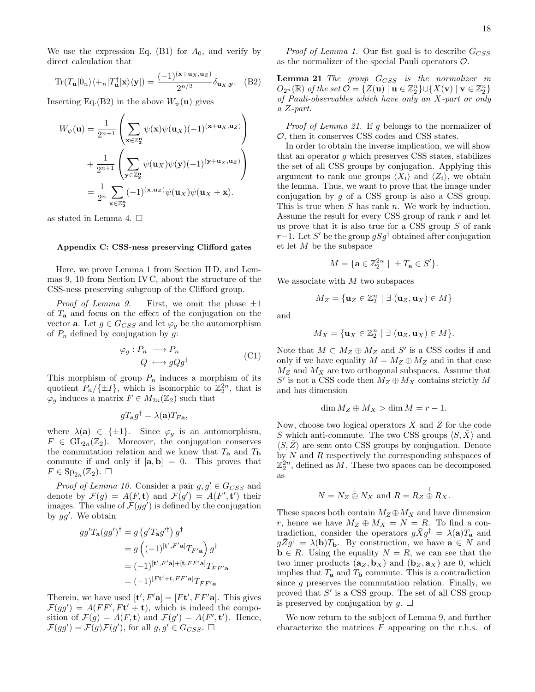We use the expression Eq. (B1) for  $A_0$ , and verify by direct calculation that

$$
\operatorname{Tr}(T_{\mathbf{u}}|0_{n}\rangle\langle +_{n}|T_{\mathbf{u}}^{\dagger}|\mathbf{x}\rangle\langle\mathbf{y}|) = \frac{(-1)^{(\mathbf{x}+\mathbf{u}_{X},\mathbf{u}_{Z})}}{2^{n/2}}\delta_{\mathbf{u}_{X},\mathbf{y}}.\tag{B2}
$$

Inserting Eq.(B2) in the above  $W_{\psi}(\mathbf{u})$  gives

$$
W_{\psi}(\mathbf{u}) = \frac{1}{2^{n+1}} \left( \sum_{\mathbf{x} \in \mathbb{Z}_2^n} \psi(\mathbf{x}) \psi(\mathbf{u}_X) (-1)^{(\mathbf{x} + \mathbf{u}_X, \mathbf{u}_Z)} \right)
$$
  
+ 
$$
\frac{1}{2^{n+1}} \left( \sum_{\mathbf{y} \in \mathbb{Z}_2^n} \psi(\mathbf{u}_X) \psi(\mathbf{y}) (-1)^{(\mathbf{y} + \mathbf{u}_X, \mathbf{u}_Z)} \right)
$$
  
= 
$$
\frac{1}{2^n} \sum_{\mathbf{x} \in \mathbb{Z}_2^n} (-1)^{(\mathbf{x}, \mathbf{u}_Z)} \psi(\mathbf{u}_X) \psi(\mathbf{u}_X + \mathbf{x}).
$$

as stated in Lemma 4.  $\square$ 

#### Appendix C: CSS-ness preserving Clifford gates

Here, we prove Lemma 1 from Section II D, and Lemmas 9, 10 from Section IV C, about the structure of the CSS-ness preserving subgroup of the Clifford group.

*Proof of Lemma 9.* First, we omit the phase  $\pm 1$ of  $T_a$  and focus on the effect of the conjugation on the vector **a**. Let  $g \in G_{CSS}$  and let  $\varphi_g$  be the automorphism of  $P_n$  defined by conjugation by q:

$$
\varphi_g: P_n \longrightarrow P_n
$$
  
\n
$$
Q \longmapsto gQg^{\dagger}
$$
 (C1)

This morphism of group  $P_n$  induces a morphism of its quotient  $P_n/\{\pm I\}$ , which is isomorphic to  $\mathbb{Z}_2^{2n}$ , that is  $\varphi_g$  induces a matrix  $F \in M_{2n}(\mathbb{Z}_2)$  such that

$$
gT_{\mathbf{a}}g^{\dagger} = \lambda(\mathbf{a})T_{F\mathbf{a}},
$$

where  $\lambda(\mathbf{a}) \in {\{\pm 1\}}$ . Since  $\varphi_g$  is an automorphism,  $F \in GL_{2n}(\mathbb{Z}_2)$ . Moreover, the conjugation conserves the commutation relation and we know that  $T_a$  and  $T_b$ commute if and only if  $[\mathbf{a}, \mathbf{b}] = 0$ . This proves that  $F \in \mathrm{Sp}_{2n}(\mathbb{Z}_2)$ .  $\square$ 

*Proof of Lemma 10.* Consider a pair  $g, g' \in G_{CSS}$  and denote by  $\mathcal{F}(g) = A(F, t)$  and  $\mathcal{F}(g') = A(F', t')$  their images. The value of  $\mathcal{F}(gg')$  is defined by the conjugation by  $gg'$ . We obtain

$$
gg'T_{\mathbf{a}}(gg')^{\dagger} = g(g'T_{\mathbf{a}}g'^{\dagger}) g^{\dagger}
$$
  
=  $g((-1)^{[\mathbf{t}',F'\mathbf{a}]}T_{F'\mathbf{a}}g^{\dagger}$   
=  $(-1)^{[\mathbf{t}',F'\mathbf{a}]+[\mathbf{t},FF'\mathbf{a}]}T_{FF'\mathbf{a}}$   
=  $(-1)^{[F\mathbf{t}'+\mathbf{t},FF'\mathbf{a}]}T_{FF'\mathbf{a}}$ 

Therein, we have used  $[\mathbf{t}', F' \mathbf{a}] = [F\mathbf{t}', FF' \mathbf{a}]$ . This gives  $\mathcal{F}(gg') = A(FF',Ft' + t)$ , which is indeed the composition of  $\mathcal{F}(g) = A(F, \mathbf{t})$  and  $\mathcal{F}(g') = A(F', \mathbf{t}')$ . Hence,  $\mathcal{F}(gg') = \mathcal{F}(g)\mathcal{F}(g')$ , for all  $g, g' \in G_{CSS}$ .

*Proof of Lemma 1.* Our fist goal is to describe  $G_{CSS}$ as the normalizer of the special Pauli operators  $\mathcal{O}$ .

**Lemma 21** The group  $G_{CSS}$  is the normalizer in  $O_{2^n}(\mathbb{R})$  of the set  $\mathcal{O} = \{ Z(\mathbf{u}) \mid \mathbf{u} \in \mathbb{Z}_2^n \} \cup \{ X(\mathbf{v}) \mid \mathbf{v} \in \mathbb{Z}_2^n \}$ of Pauli-observables which have only an X-part or only a Z-part.

Proof of Lemma 21. If g belongs to the normalizer of O, then it conserves CSS codes and CSS states.

In order to obtain the inverse implication, we will show that an operator  $g$  which preserves CSS states, stabilizes the set of all CSS groups by conjugation. Applying this argument to rank one groups  $\langle X_i \rangle$  and  $\langle Z_i \rangle$ , we obtain the lemma. Thus, we want to prove that the image under conjugation by  $g$  of a CSS group is also a CSS group. This is true when  $S$  has rank  $n$ . We work by induction. Assume the result for every CSS group of rank  $r$  and let us prove that it is also true for a CSS group  $S$  of rank r−1. Let S' be the group  $gSg^{\dagger}$  obtained after conjugation et let M be the subspace

$$
M = \{ \mathbf{a} \in \mathbb{Z}_2^{2n} \mid \ \pm T_\mathbf{a} \in S' \}.
$$

We associate with  $M$  two subspaces

$$
M_Z = \{ \mathbf{u}_Z \in \mathbb{Z}_2^n \mid \exists \ (\mathbf{u}_Z, \mathbf{u}_X) \in M \}
$$

and

$$
M_X = \{ \mathbf{u}_X \in \mathbb{Z}_2^n \mid \exists (\mathbf{u}_Z, \mathbf{u}_X) \in M \}.
$$

Note that  $M \subset M_Z \oplus M_Z$  and S' is a CSS codes if and only if we have equality  $M = M_Z \oplus M_Z$  and in that case  $M_Z$  and  $M_X$  are two orthogonal subspaces. Assume that  $S'$  is not a CSS code then  $M_Z\oplus M_X$  contains strictly  $M$ and has dimension

$$
\dim M_Z \oplus M_X > \dim M = r - 1.
$$

Now, choose two logical operators  $\bar{X}$  and  $\bar{Z}$  for the code S which anti-commute. The two CSS groups  $\langle S, X \rangle$  and  $\langle S,\bar{Z}\rangle$  are sent onto CSS groups by conjugation. Denote by  $N$  and  $R$  respectively the corresponding subspaces of  $\mathbb{Z}_2^{2n}$ , defined as M. These two spaces can be decomposed as

$$
N = N_Z \overset{\perp}{\oplus} N_X \text{ and } R = R_Z \overset{\perp}{\oplus} R_X.
$$

These spaces both contain  $M_Z \oplus M_X$  and have dimension r, hence we have  $M_Z \oplus M_X = N = R$ . To find a contradiction, consider the operators  $g\bar{X}g^{\dagger} = \lambda(\mathbf{a})T_{\mathbf{a}}$  and  $g\bar{Z}g^{\dagger} = \lambda(\mathbf{b})T_{\mathbf{b}}$ . By construction, we have  $\mathbf{a} \in N$  and  $\mathbf{b} \in R$ . Using the equality  $N = R$ , we can see that the two inner products  $(a_Z, b_X)$  and  $(b_Z, a_X)$  are 0, which implies that  $T_a$  and  $T_b$  commute. This is a contradiction since g preserves the commutation relation. Finally, we proved that  $S'$  is a CSS group. The set of all CSS group is preserved by conjugation by  $q$ .  $\square$ 

We now return to the subject of Lemma 9, and further characterize the matrices  $F$  appearing on the r.h.s. of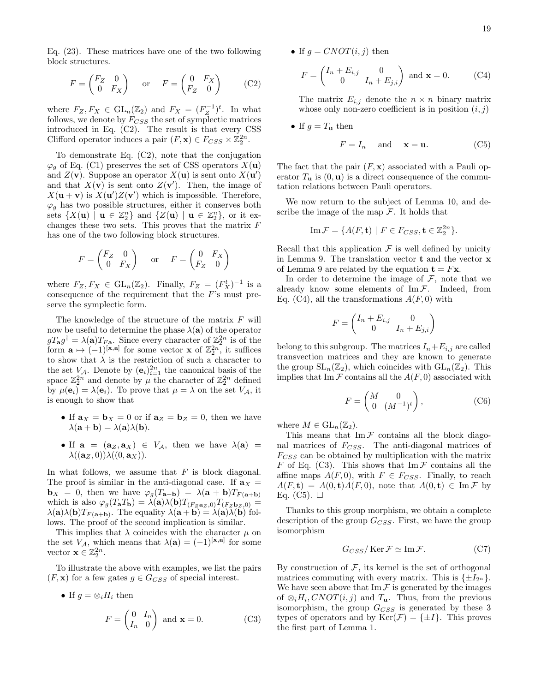Eq. (23). These matrices have one of the two following block structures.

$$
F = \begin{pmatrix} F_Z & 0 \\ 0 & F_X \end{pmatrix} \quad \text{or} \quad F = \begin{pmatrix} 0 & F_X \\ F_Z & 0 \end{pmatrix} \tag{C2}
$$

where  $F_Z, F_X \in GL_n(\mathbb{Z}_2)$  and  $F_X = (F_Z^{-1})^t$ . In what follows, we denote by  $F_{CSS}$  the set of symplectic matrices introduced in Eq. (C2). The result is that every CSS Clifford operator induces a pair  $(F, \mathbf{x}) \in F_{CSS} \times \mathbb{Z}_2^{2n}$ .

To demonstrate Eq. (C2), note that the conjugation  $\varphi_q$  of Eq. (C1) preserves the set of CSS operators  $X(\mathbf{u})$ and  $Z(\mathbf{v})$ . Suppose an operator  $X(\mathbf{u})$  is sent onto  $X(\mathbf{u}')$ and that  $X(\mathbf{v})$  is sent onto  $Z(\mathbf{v}')$ . Then, the image of  $X(\mathbf{u} + \mathbf{v})$  is  $X(\mathbf{u'})Z(\mathbf{v'})$  which is impossible. Therefore,  $\varphi_g$  has two possible structures, either it conserves both sets  $\{X(\mathbf{u}) \mid \mathbf{u} \in \mathbb{Z}_2^n\}$  and  $\{Z(\mathbf{u}) \mid \mathbf{u} \in \mathbb{Z}_2^n\}$ , or it exchanges these two sets. This proves that the matrix  $F$ has one of the two following block structures.

$$
F = \begin{pmatrix} F_Z & 0 \\ 0 & F_X \end{pmatrix} \quad \text{or} \quad F = \begin{pmatrix} 0 & F_X \\ F_Z & 0 \end{pmatrix}
$$

where  $F_Z, F_X \in GL_n(\mathbb{Z}_2)$ . Finally,  $F_Z = (F_X^t)^{-1}$  is a consequence of the requirement that the F's must preserve the symplectic form.

The knowledge of the structure of the matrix F will now be useful to determine the phase  $\lambda(\mathbf{a})$  of the operator  $gT_{\bf a}g^{\dagger} = \lambda({\bf a})T_{F_{\bf a}}$ . Since every character of  $\mathbb{Z}_2^{2n}$  is of the form  $\mathbf{a} \mapsto (-1)^{[\mathbf{x},\mathbf{a}]}$  for some vector  $\mathbf{x}$  of  $\mathbb{Z}_2^{2n}$ , it suffices to show that  $\lambda$  is the restriction of such a character to the set  $V_A$ . Denote by  $(\mathbf{e}_i)_{i=1}^{2n}$  the canonical basis of the space  $\mathbb{Z}_2^{2n}$  and denote by  $\mu$  the character of  $\mathbb{Z}_2^{2n}$  defined by  $\mu(\mathbf{e}_i) = \lambda(\mathbf{e}_i)$ . To prove that  $\mu = \lambda$  on the set  $V_A$ , it is enough to show that

- If  $\mathbf{a}_X = \mathbf{b}_X = 0$  or if  $\mathbf{a}_Z = \mathbf{b}_Z = 0$ , then we have  $\lambda(\mathbf{a} + \mathbf{b}) = \lambda(\mathbf{a})\lambda(\mathbf{b}).$
- If  $\mathbf{a} = (\mathbf{a}_Z, \mathbf{a}_X) \in V_A$ , then we have  $\lambda(\mathbf{a}) =$  $\lambda((\mathbf{a}_Z, 0))\lambda((0, \mathbf{a}_X)).$

In what follows, we assume that  $F$  is block diagonal. The proof is similar in the anti-diagonal case. If  $a_X =$ **, then we have**  $\varphi_q(T_{\mathbf{a}+\mathbf{b}}) = \lambda(\mathbf{a} + \mathbf{b})T_{F(\mathbf{a}+\mathbf{b})}$ which is also  $\varphi_g(T_a T_b) = \lambda(a)\lambda(b)T_{(F_Z a_Z, 0)}T_{(F_Z b_Z, 0)} =$  $\lambda(\mathbf{a})\lambda(\mathbf{b})T_{F(\mathbf{a}+\mathbf{b})}$ . The equality  $\lambda(\mathbf{a}+\mathbf{b})=\lambda(\mathbf{a})\lambda(\mathbf{b})$  follows. The proof of the second implication is similar.

This implies that  $\lambda$  coincides with the character  $\mu$  on the set  $V_A$ , which means that  $\lambda(\mathbf{a}) = (-1)^{[\mathbf{x}, \mathbf{a}]}$  for some vector  $\mathbf{x} \in \mathbb{Z}_2^{2n}$ .

To illustrate the above with examples, we list the pairs  $(F, \mathbf{x})$  for a few gates  $g \in G_{CSS}$  of special interest.

• If 
$$
g = \otimes_i H_i
$$
 then  
\n
$$
F = \begin{pmatrix} 0 & I_n \\ I_n & 0 \end{pmatrix} \text{ and } \mathbf{x} = 0.
$$
\n(C3)

• If 
$$
g = CNOT(i, j)
$$
 then

$$
F = \begin{pmatrix} I_n + E_{i,j} & 0 \\ 0 & I_n + E_{j,i} \end{pmatrix} \text{ and } \mathbf{x} = 0.
$$
 (C4)

The matrix  $E_{i,j}$  denote the  $n \times n$  binary matrix whose only non-zero coefficient is in position  $(i, j)$ 

• If  $g = T_{\mathbf{u}}$  then

$$
F = I_n \quad \text{and} \quad \mathbf{x} = \mathbf{u}.\tag{C5}
$$

The fact that the pair  $(F, x)$  associated with a Pauli operator  $T_{\mathbf{u}}$  is  $(0, \mathbf{u})$  is a direct consequence of the commutation relations between Pauli operators.

We now return to the subject of Lemma 10, and describe the image of the map  $\mathcal F$ . It holds that

$$
\operatorname{Im} \mathcal{F} = \{ A(F, \mathbf{t}) \mid F \in F_{CSS}, \mathbf{t} \in \mathbb{Z}_2^{2n} \}.
$$

Recall that this application  $\mathcal F$  is well defined by unicity in Lemma 9. The translation vector t and the vector x of Lemma 9 are related by the equation  $\mathbf{t} = F\mathbf{x}$ .

In order to determine the image of  $\mathcal{F}$ , note that we already know some elements of  $\text{Im}\,\mathcal{F}$ . Indeed, from Eq. (C4), all the transformations  $A(F, 0)$  with

$$
F = \begin{pmatrix} I_n + E_{i,j} & 0 \\ 0 & I_n + E_{j,i} \end{pmatrix}
$$

belong to this subgroup. The matrices  $I_n+E_{i,j}$  are called transvection matrices and they are known to generate the group  $SL_n(\mathbb{Z}_2)$ , which coincides with  $GL_n(\mathbb{Z}_2)$ . This implies that Im  $\mathcal F$  contains all the  $A(F, 0)$  associated with

$$
F = \begin{pmatrix} M & 0 \\ 0 & (M^{-1})^t \end{pmatrix}, \tag{C6}
$$

where  $M \in GL_n(\mathbb{Z}_2)$ .

This means that  $\text{Im}\,\mathcal{F}$  contains all the block diagonal matrices of  $F_{CSS}$ . The anti-diagonal matrices of  $F_{CSS}$  can be obtained by multiplication with the matrix F of Eq. (C3). This shows that  $\text{Im}\,\mathcal{F}$  contains all the affine maps  $A(F, 0)$ , with  $F \in F_{CSS}$ . Finally, to reach  $A(F, t) = A(0, t)A(F, 0)$ , note that  $A(0, t) \in \text{Im } \mathcal{F}$  by Eq. (C5).  $\Box$ 

Thanks to this group morphism, we obtain a complete description of the group  $G_{CSS}$ . First, we have the group isomorphism

$$
G_{CSS}/\operatorname{Ker} \mathcal{F} \simeq \operatorname{Im} \mathcal{F}.\tag{C7}
$$

By construction of  $F$ , its kernel is the set of orthogonal matrices commuting with every matrix. This is  $\{\pm I_{2^n}\}.$ We have seen above that  $\text{Im } \mathcal{F}$  is generated by the images of  $\otimes_i H_i$ ,  $CNOT(i, j)$  and  $T_u$ . Thus, from the previous isomorphism, the group  $G_{CSS}$  is generated by these 3 types of operators and by  $\text{Ker}(\mathcal{F}) = \{\pm I\}.$  This proves the first part of Lemma 1.